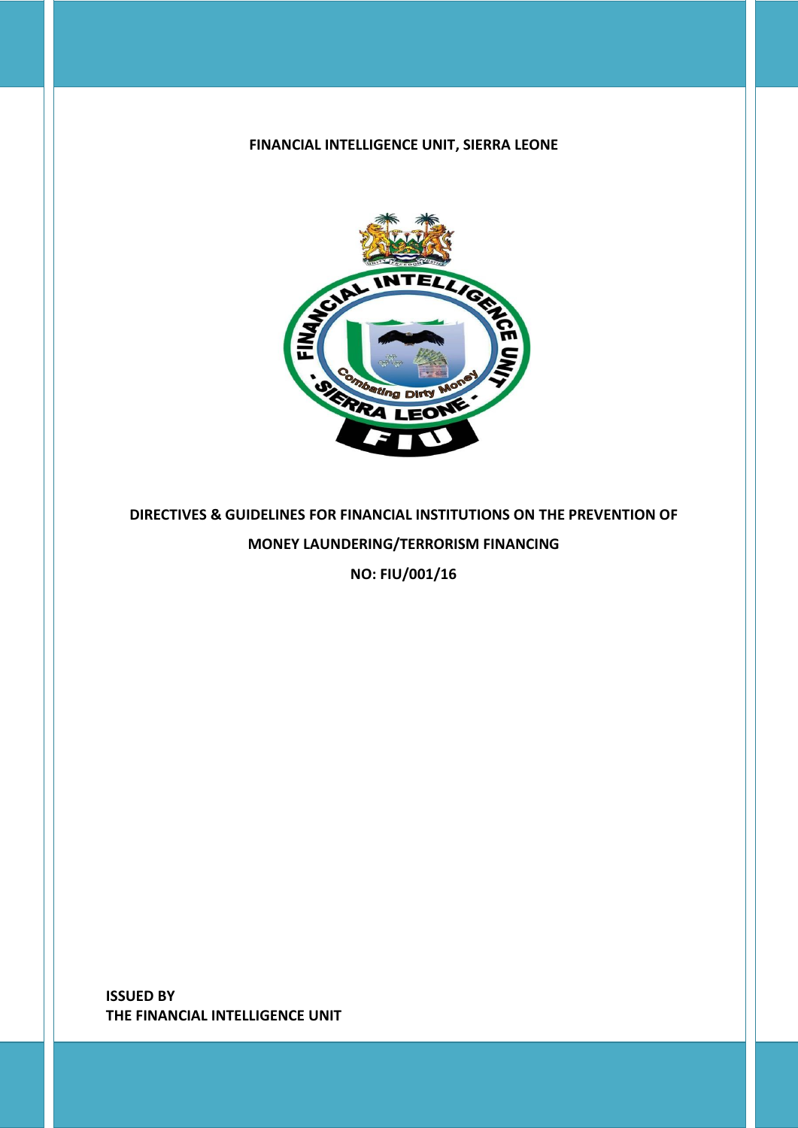### **FINANCIAL INTELLIGENCE UNIT, SIERRA LEONE**



**DIRECTIVES & GUIDELINES FOR FINANCIAL INSTITUTIONS ON THE PREVENTION OF MONEY LAUNDERING/TERRORISM FINANCING**

**NO: FIU/001/16**

**ISSUED BY THE FINANCIAL INTELLIGENCE UNIT**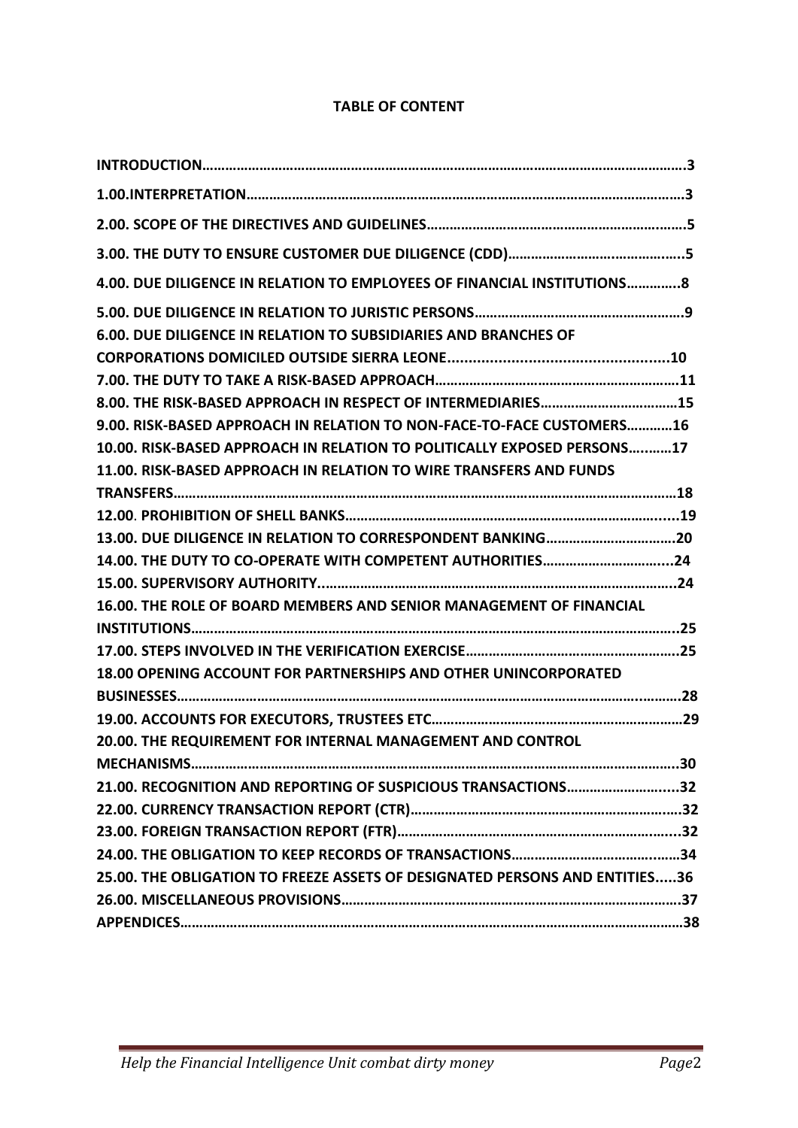### **TABLE OF CONTENT**

| 4.00. DUE DILIGENCE IN RELATION TO EMPLOYEES OF FINANCIAL INSTITUTIONS8     |  |
|-----------------------------------------------------------------------------|--|
| 6.00. DUE DILIGENCE IN RELATION TO SUBSIDIARIES AND BRANCHES OF             |  |
|                                                                             |  |
|                                                                             |  |
| 8.00. THE RISK-BASED APPROACH IN RESPECT OF INTERMEDIARIES15                |  |
| 9.00. RISK-BASED APPROACH IN RELATION TO NON-FACE-TO-FACE CUSTOMERS16       |  |
| 10.00. RISK-BASED APPROACH IN RELATION TO POLITICALLY EXPOSED PERSONS17     |  |
| 11.00. RISK-BASED APPROACH IN RELATION TO WIRE TRANSFERS AND FUNDS          |  |
|                                                                             |  |
|                                                                             |  |
| 13.00. DUE DILIGENCE IN RELATION TO CORRESPONDENT BANKING20                 |  |
| 14.00. THE DUTY TO CO-OPERATE WITH COMPETENT AUTHORITIES24                  |  |
|                                                                             |  |
| 16.00. THE ROLE OF BOARD MEMBERS AND SENIOR MANAGEMENT OF FINANCIAL         |  |
|                                                                             |  |
|                                                                             |  |
| 18.00 OPENING ACCOUNT FOR PARTNERSHIPS AND OTHER UNINCORPORATED             |  |
|                                                                             |  |
|                                                                             |  |
| 20.00. THE REQUIREMENT FOR INTERNAL MANAGEMENT AND CONTROL                  |  |
|                                                                             |  |
| 21.00. RECOGNITION AND REPORTING OF SUSPICIOUS TRANSACTIONS32               |  |
|                                                                             |  |
|                                                                             |  |
|                                                                             |  |
| 25.00. THE OBLIGATION TO FREEZE ASSETS OF DESIGNATED PERSONS AND ENTITIES36 |  |
|                                                                             |  |
|                                                                             |  |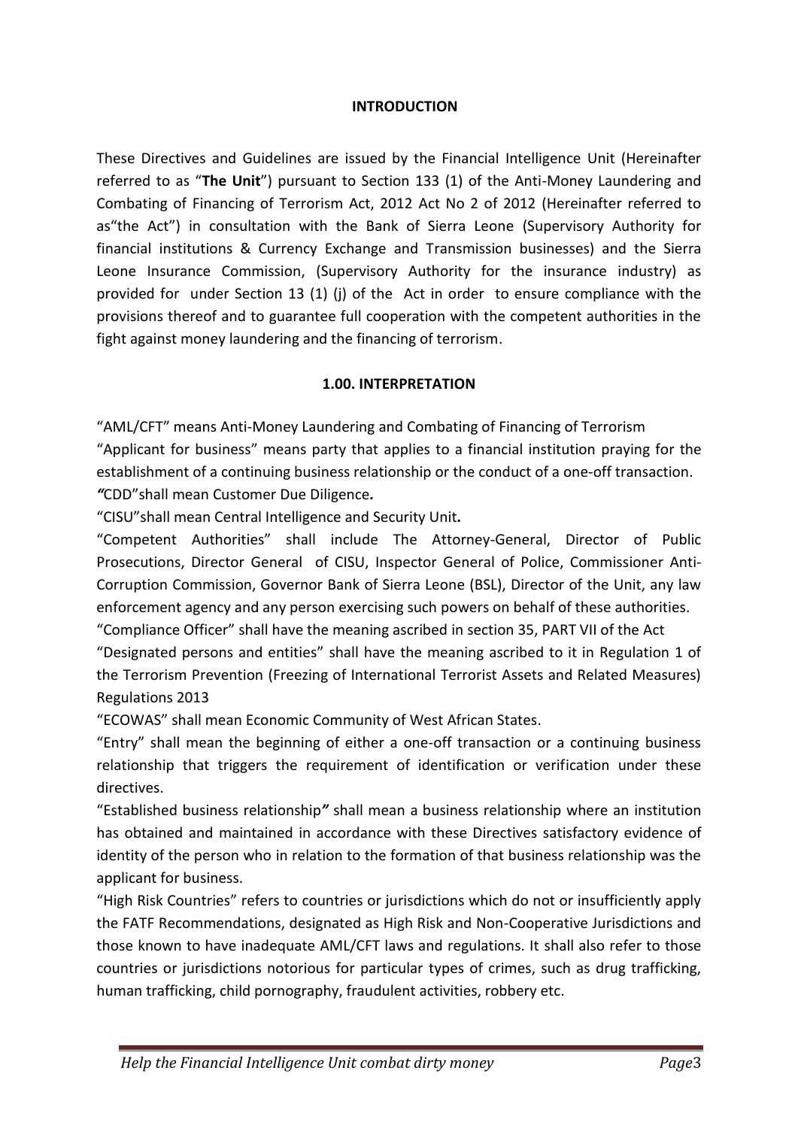#### **INTRODUCTION**

These Directives and Guidelines are issued by the Financial Intelligence Unit (Hereinafter referred to as "**The Unit**") pursuant to Section 133 (1) of the Anti-Money Laundering and Combating of Financing of Terrorism Act, 2012 Act No 2 of 2012 (Hereinafter referred to as"the Act") in consultation with the Bank of Sierra Leone (Supervisory Authority for financial institutions & Currency Exchange and Transmission businesses) and the Sierra Leone Insurance Commission, (Supervisory Authority for the insurance industry) as provided for under Section 13 (1) (j) of the Act in order to ensure compliance with the provisions thereof and to guarantee full cooperation with the competent authorities in the fight against money laundering and the financing of terrorism.

### **1.00. INTERPRETATION**

"AML/CFT" means Anti-Money Laundering and Combating of Financing of Terrorism

"Applicant for business" means party that applies to a financial institution praying for the establishment of a continuing business relationship or the conduct of a one-off transaction. *"*CDD"shall mean Customer Due Diligence*.*

"CISU"shall mean Central Intelligence and Security Unit*.*

"Competent Authorities" shall include The Attorney-General, Director of Public Prosecutions, Director General of CISU, Inspector General of Police, Commissioner Anti-Corruption Commission, Governor Bank of Sierra Leone (BSL), Director of the Unit, any law enforcement agency and any person exercising such powers on behalf of these authorities. "Compliance Officer" shall have the meaning ascribed in section 35, PART VII of the Act

"Designated persons and entities" shall have the meaning ascribed to it in Regulation 1 of the Terrorism Prevention (Freezing of International Terrorist Assets and Related Measures) Regulations 2013

"ECOWAS" shall mean Economic Community of West African States.

"Entry" shall mean the beginning of either a one-off transaction or a continuing business relationship that triggers the requirement of identification or verification under these directives.

"Established business relationship*"* shall mean a business relationship where an institution has obtained and maintained in accordance with these Directives satisfactory evidence of identity of the person who in relation to the formation of that business relationship was the applicant for business.

"High Risk Countries" refers to countries or jurisdictions which do not or insufficiently apply the FATF Recommendations, designated as High Risk and Non-Cooperative Jurisdictions and those known to have inadequate AML/CFT laws and regulations. It shall also refer to those countries or jurisdictions notorious for particular types of crimes, such as drug trafficking, human trafficking, child pornography, fraudulent activities, robbery etc.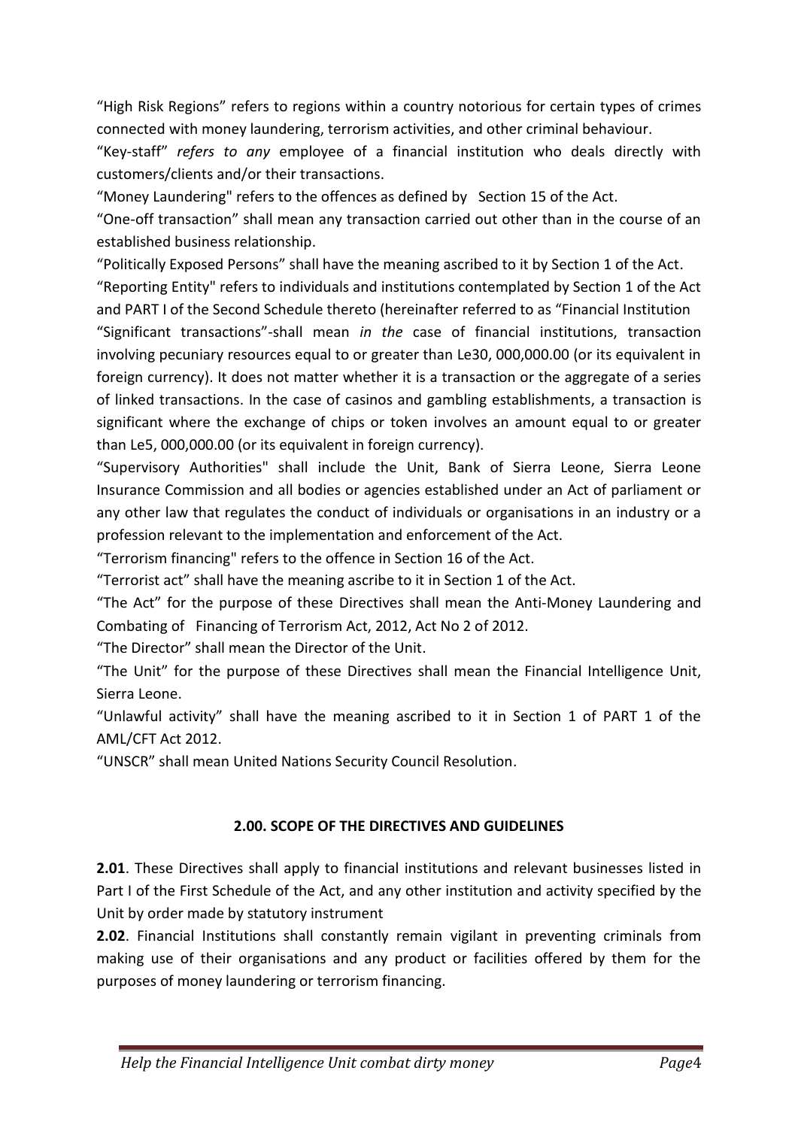"High Risk Regions" refers to regions within a country notorious for certain types of crimes connected with money laundering, terrorism activities, and other criminal behaviour.

"Key-staff" *refers to any* employee of a financial institution who deals directly with customers/clients and/or their transactions.

"Money Laundering" refers to the offences as defined by Section 15 of the Act.

"One-off transaction" shall mean any transaction carried out other than in the course of an established business relationship.

"Politically Exposed Persons" shall have the meaning ascribed to it by Section 1 of the Act. "Reporting Entity" refers to individuals and institutions contemplated by Section 1 of the Act and PART I of the Second Schedule thereto (hereinafter referred to as "Financial Institution "Significant transactions"-shall mean *in the* case of financial institutions, transaction involving pecuniary resources equal to or greater than Le30, 000,000.00 (or its equivalent in foreign currency). It does not matter whether it is a transaction or the aggregate of a series of linked transactions. In the case of casinos and gambling establishments, a transaction is significant where the exchange of chips or token involves an amount equal to or greater than Le5, 000,000.00 (or its equivalent in foreign currency).

"Supervisory Authorities" shall include the Unit, Bank of Sierra Leone, Sierra Leone Insurance Commission and all bodies or agencies established under an Act of parliament or any other law that regulates the conduct of individuals or organisations in an industry or a profession relevant to the implementation and enforcement of the Act.

"Terrorism financing" refers to the offence in Section 16 of the Act.

"Terrorist act" shall have the meaning ascribe to it in Section 1 of the Act.

"The Act" for the purpose of these Directives shall mean the Anti-Money Laundering and Combating of Financing of Terrorism Act, 2012, Act No 2 of 2012.

"The Director" shall mean the Director of the Unit.

"The Unit" for the purpose of these Directives shall mean the Financial Intelligence Unit, Sierra Leone.

"Unlawful activity" shall have the meaning ascribed to it in Section 1 of PART 1 of the AML/CFT Act 2012.

"UNSCR" shall mean United Nations Security Council Resolution.

### **2.00. SCOPE OF THE DIRECTIVES AND GUIDELINES**

**2.01**. These Directives shall apply to financial institutions and relevant businesses listed in Part I of the First Schedule of the Act, and any other institution and activity specified by the Unit by order made by statutory instrument

**2.02**. Financial Institutions shall constantly remain vigilant in preventing criminals from making use of their organisations and any product or facilities offered by them for the purposes of money laundering or terrorism financing.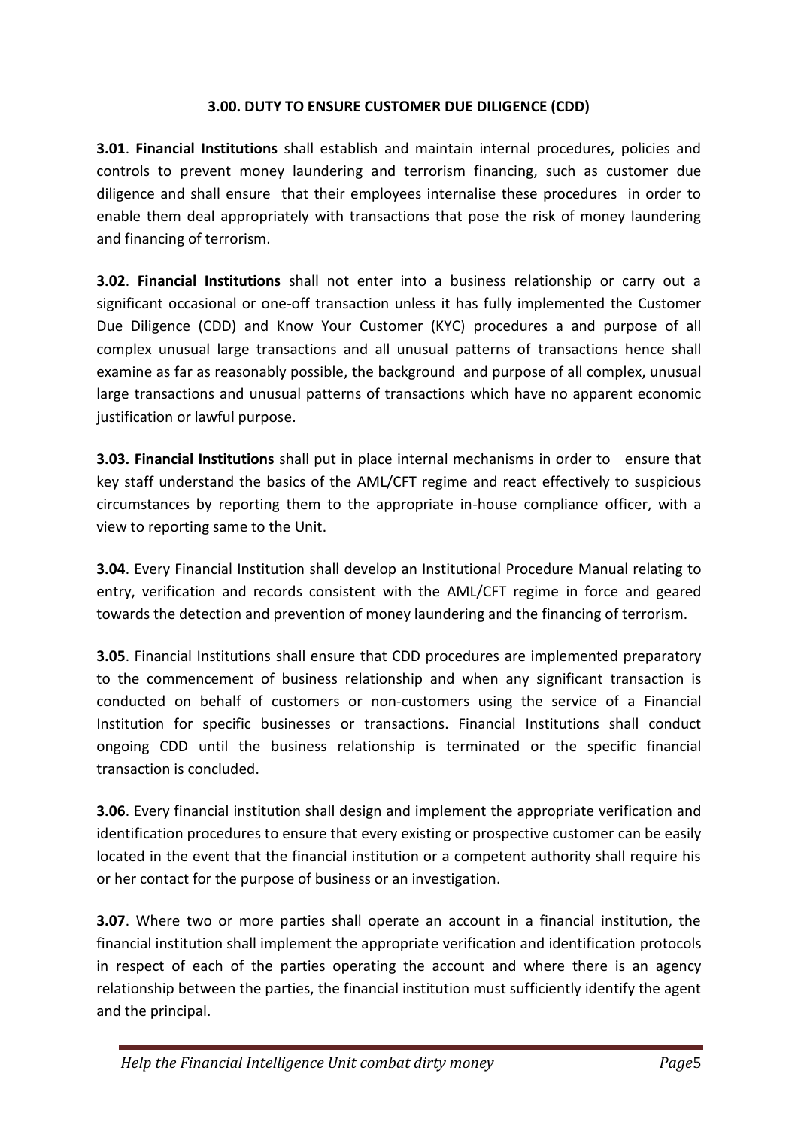### **3.00. DUTY TO ENSURE CUSTOMER DUE DILIGENCE (CDD)**

**3.01**. **Financial Institutions** shall establish and maintain internal procedures, policies and controls to prevent money laundering and terrorism financing, such as customer due diligence and shall ensure that their employees internalise these procedures in order to enable them deal appropriately with transactions that pose the risk of money laundering and financing of terrorism.

**3.02**. **Financial Institutions** shall not enter into a business relationship or carry out a significant occasional or one-off transaction unless it has fully implemented the Customer Due Diligence (CDD) and Know Your Customer (KYC) procedures a and purpose of all complex unusual large transactions and all unusual patterns of transactions hence shall examine as far as reasonably possible, the background and purpose of all complex, unusual large transactions and unusual patterns of transactions which have no apparent economic justification or lawful purpose.

**3.03. Financial Institutions** shall put in place internal mechanisms in order to ensure that key staff understand the basics of the AML/CFT regime and react effectively to suspicious circumstances by reporting them to the appropriate in-house compliance officer, with a view to reporting same to the Unit.

**3.04**. Every Financial Institution shall develop an Institutional Procedure Manual relating to entry, verification and records consistent with the AML/CFT regime in force and geared towards the detection and prevention of money laundering and the financing of terrorism.

**3.05**. Financial Institutions shall ensure that CDD procedures are implemented preparatory to the commencement of business relationship and when any significant transaction is conducted on behalf of customers or non-customers using the service of a Financial Institution for specific businesses or transactions. Financial Institutions shall conduct ongoing CDD until the business relationship is terminated or the specific financial transaction is concluded.

**3.06**. Every financial institution shall design and implement the appropriate verification and identification procedures to ensure that every existing or prospective customer can be easily located in the event that the financial institution or a competent authority shall require his or her contact for the purpose of business or an investigation.

**3.07**. Where two or more parties shall operate an account in a financial institution, the financial institution shall implement the appropriate verification and identification protocols in respect of each of the parties operating the account and where there is an agency relationship between the parties, the financial institution must sufficiently identify the agent and the principal.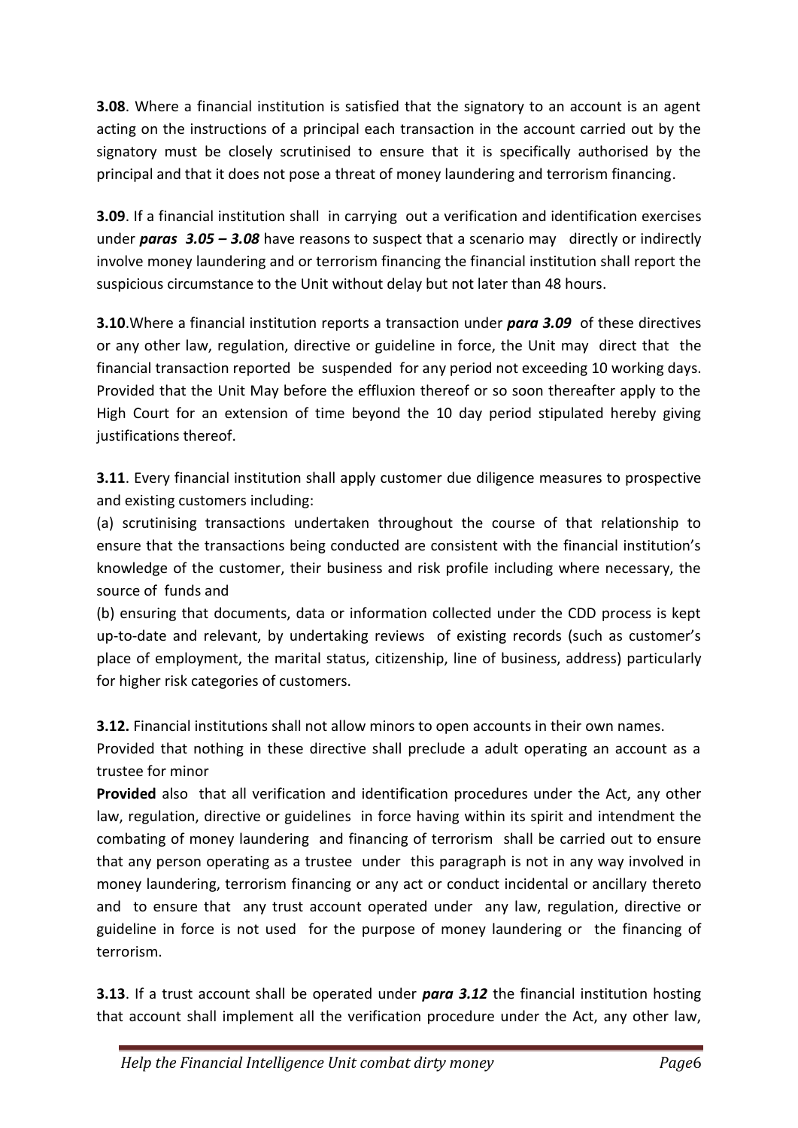**3.08**. Where a financial institution is satisfied that the signatory to an account is an agent acting on the instructions of a principal each transaction in the account carried out by the signatory must be closely scrutinised to ensure that it is specifically authorised by the principal and that it does not pose a threat of money laundering and terrorism financing.

**3.09**. If a financial institution shall in carrying out a verification and identification exercises under *paras 3.05 – 3.08* have reasons to suspect that a scenario may directly or indirectly involve money laundering and or terrorism financing the financial institution shall report the suspicious circumstance to the Unit without delay but not later than 48 hours.

**3.10**.Where a financial institution reports a transaction under *para 3.09* of these directives or any other law, regulation, directive or guideline in force, the Unit may direct that the financial transaction reported be suspended for any period not exceeding 10 working days. Provided that the Unit May before the effluxion thereof or so soon thereafter apply to the High Court for an extension of time beyond the 10 day period stipulated hereby giving justifications thereof.

**3.11**. Every financial institution shall apply customer due diligence measures to prospective and existing customers including:

(a) scrutinising transactions undertaken throughout the course of that relationship to ensure that the transactions being conducted are consistent with the financial institution's knowledge of the customer, their business and risk profile including where necessary, the source of funds and

(b) ensuring that documents, data or information collected under the CDD process is kept up-to-date and relevant, by undertaking reviews of existing records (such as customer's place of employment, the marital status, citizenship, line of business, address) particularly for higher risk categories of customers.

**3.12.** Financial institutions shall not allow minors to open accounts in their own names.

Provided that nothing in these directive shall preclude a adult operating an account as a trustee for minor

**Provided** also that all verification and identification procedures under the Act, any other law, regulation, directive or guidelines in force having within its spirit and intendment the combating of money laundering and financing of terrorism shall be carried out to ensure that any person operating as a trustee under this paragraph is not in any way involved in money laundering, terrorism financing or any act or conduct incidental or ancillary thereto and to ensure that any trust account operated under any law, regulation, directive or guideline in force is not used for the purpose of money laundering or the financing of terrorism.

**3.13**. If a trust account shall be operated under *para 3.12* the financial institution hosting that account shall implement all the verification procedure under the Act, any other law,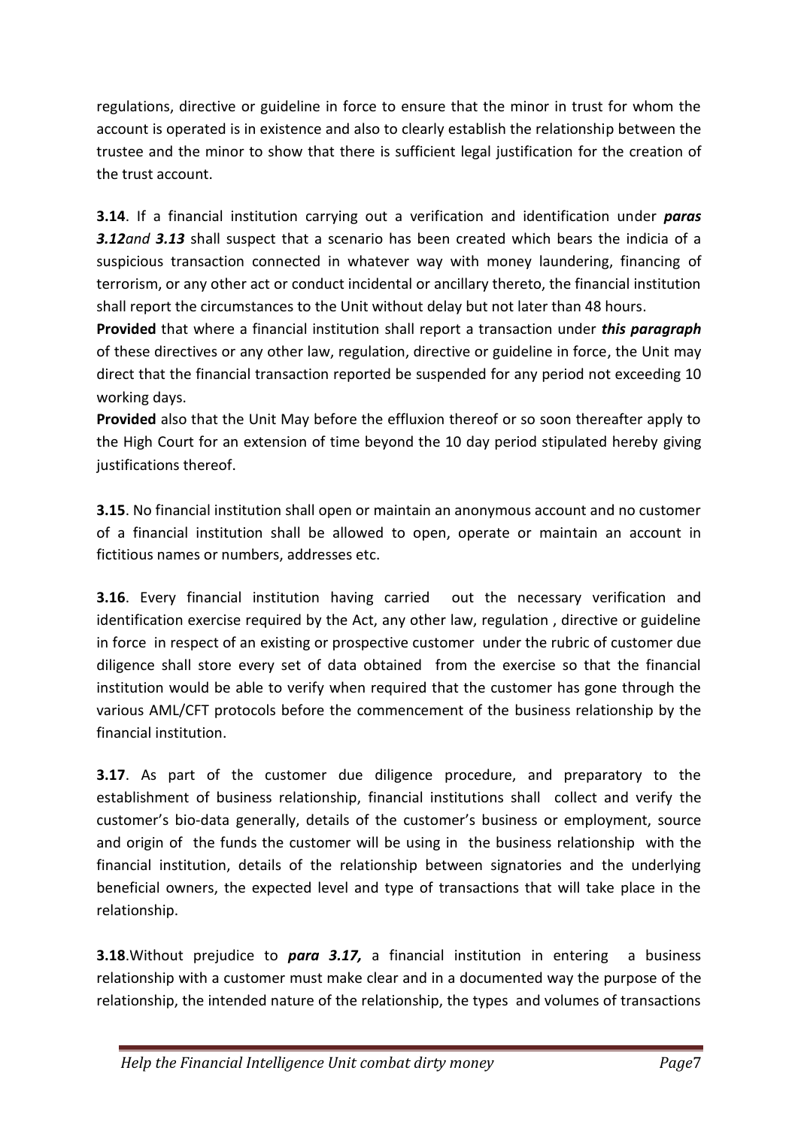regulations, directive or guideline in force to ensure that the minor in trust for whom the account is operated is in existence and also to clearly establish the relationship between the trustee and the minor to show that there is sufficient legal justification for the creation of the trust account.

**3.14**. If a financial institution carrying out a verification and identification under *paras 3.12and 3.13* shall suspect that a scenario has been created which bears the indicia of a suspicious transaction connected in whatever way with money laundering, financing of terrorism, or any other act or conduct incidental or ancillary thereto, the financial institution shall report the circumstances to the Unit without delay but not later than 48 hours.

**Provided** that where a financial institution shall report a transaction under *this paragraph*  of these directives or any other law, regulation, directive or guideline in force, the Unit may direct that the financial transaction reported be suspended for any period not exceeding 10 working days.

**Provided** also that the Unit May before the effluxion thereof or so soon thereafter apply to the High Court for an extension of time beyond the 10 day period stipulated hereby giving justifications thereof.

**3.15**. No financial institution shall open or maintain an anonymous account and no customer of a financial institution shall be allowed to open, operate or maintain an account in fictitious names or numbers, addresses etc.

**3.16**. Every financial institution having carried out the necessary verification and identification exercise required by the Act, any other law, regulation , directive or guideline in force in respect of an existing or prospective customer under the rubric of customer due diligence shall store every set of data obtained from the exercise so that the financial institution would be able to verify when required that the customer has gone through the various AML/CFT protocols before the commencement of the business relationship by the financial institution.

**3.17**. As part of the customer due diligence procedure, and preparatory to the establishment of business relationship, financial institutions shall collect and verify the customer's bio-data generally, details of the customer's business or employment, source and origin of the funds the customer will be using in the business relationship with the financial institution, details of the relationship between signatories and the underlying beneficial owners, the expected level and type of transactions that will take place in the relationship.

**3.18**.Without prejudice to *para 3.17,* a financial institution in entering a business relationship with a customer must make clear and in a documented way the purpose of the relationship, the intended nature of the relationship, the types and volumes of transactions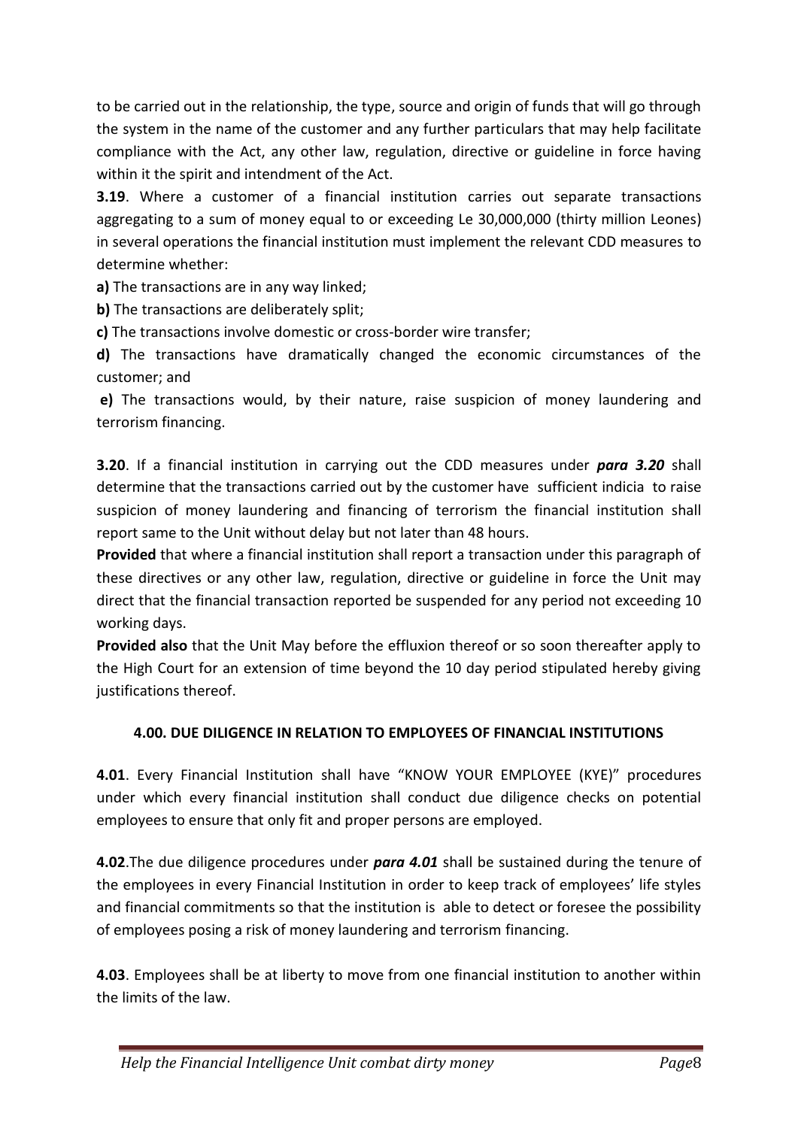to be carried out in the relationship, the type, source and origin of funds that will go through the system in the name of the customer and any further particulars that may help facilitate compliance with the Act, any other law, regulation, directive or guideline in force having within it the spirit and intendment of the Act.

**3.19**. Where a customer of a financial institution carries out separate transactions aggregating to a sum of money equal to or exceeding Le 30,000,000 (thirty million Leones) in several operations the financial institution must implement the relevant CDD measures to determine whether:

**a)** The transactions are in any way linked;

**b)** The transactions are deliberately split;

**c)** The transactions involve domestic or cross-border wire transfer;

**d)** The transactions have dramatically changed the economic circumstances of the customer; and

**e)** The transactions would, by their nature, raise suspicion of money laundering and terrorism financing.

**3.20**. If a financial institution in carrying out the CDD measures under *para 3.20* shall determine that the transactions carried out by the customer have sufficient indicia to raise suspicion of money laundering and financing of terrorism the financial institution shall report same to the Unit without delay but not later than 48 hours.

**Provided** that where a financial institution shall report a transaction under this paragraph of these directives or any other law, regulation, directive or guideline in force the Unit may direct that the financial transaction reported be suspended for any period not exceeding 10 working days.

**Provided also** that the Unit May before the effluxion thereof or so soon thereafter apply to the High Court for an extension of time beyond the 10 day period stipulated hereby giving justifications thereof.

### **4.00. DUE DILIGENCE IN RELATION TO EMPLOYEES OF FINANCIAL INSTITUTIONS**

**4.01**. Every Financial Institution shall have "KNOW YOUR EMPLOYEE (KYE)" procedures under which every financial institution shall conduct due diligence checks on potential employees to ensure that only fit and proper persons are employed.

**4.02**.The due diligence procedures under *para 4.01* shall be sustained during the tenure of the employees in every Financial Institution in order to keep track of employees' life styles and financial commitments so that the institution is able to detect or foresee the possibility of employees posing a risk of money laundering and terrorism financing.

**4.03**. Employees shall be at liberty to move from one financial institution to another within the limits of the law.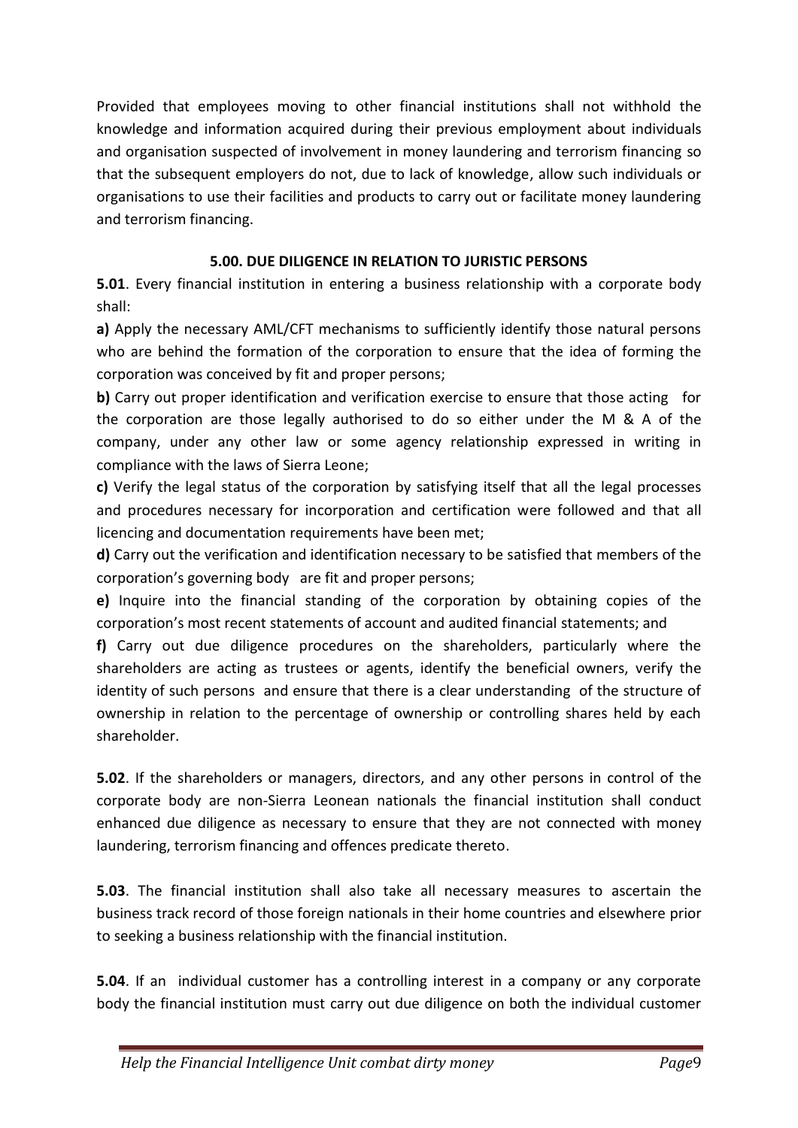Provided that employees moving to other financial institutions shall not withhold the knowledge and information acquired during their previous employment about individuals and organisation suspected of involvement in money laundering and terrorism financing so that the subsequent employers do not, due to lack of knowledge, allow such individuals or organisations to use their facilities and products to carry out or facilitate money laundering and terrorism financing.

## **5.00. DUE DILIGENCE IN RELATION TO JURISTIC PERSONS**

**5.01**. Every financial institution in entering a business relationship with a corporate body shall:

**a)** Apply the necessary AML/CFT mechanisms to sufficiently identify those natural persons who are behind the formation of the corporation to ensure that the idea of forming the corporation was conceived by fit and proper persons;

**b)** Carry out proper identification and verification exercise to ensure that those acting for the corporation are those legally authorised to do so either under the M & A of the company, under any other law or some agency relationship expressed in writing in compliance with the laws of Sierra Leone;

**c)** Verify the legal status of the corporation by satisfying itself that all the legal processes and procedures necessary for incorporation and certification were followed and that all licencing and documentation requirements have been met;

**d)** Carry out the verification and identification necessary to be satisfied that members of the corporation's governing body are fit and proper persons;

**e)** Inquire into the financial standing of the corporation by obtaining copies of the corporation's most recent statements of account and audited financial statements; and

**f)** Carry out due diligence procedures on the shareholders, particularly where the shareholders are acting as trustees or agents, identify the beneficial owners, verify the identity of such persons and ensure that there is a clear understanding of the structure of ownership in relation to the percentage of ownership or controlling shares held by each shareholder.

**5.02**. If the shareholders or managers, directors, and any other persons in control of the corporate body are non-Sierra Leonean nationals the financial institution shall conduct enhanced due diligence as necessary to ensure that they are not connected with money laundering, terrorism financing and offences predicate thereto.

**5.03**. The financial institution shall also take all necessary measures to ascertain the business track record of those foreign nationals in their home countries and elsewhere prior to seeking a business relationship with the financial institution.

**5.04**. If an individual customer has a controlling interest in a company or any corporate body the financial institution must carry out due diligence on both the individual customer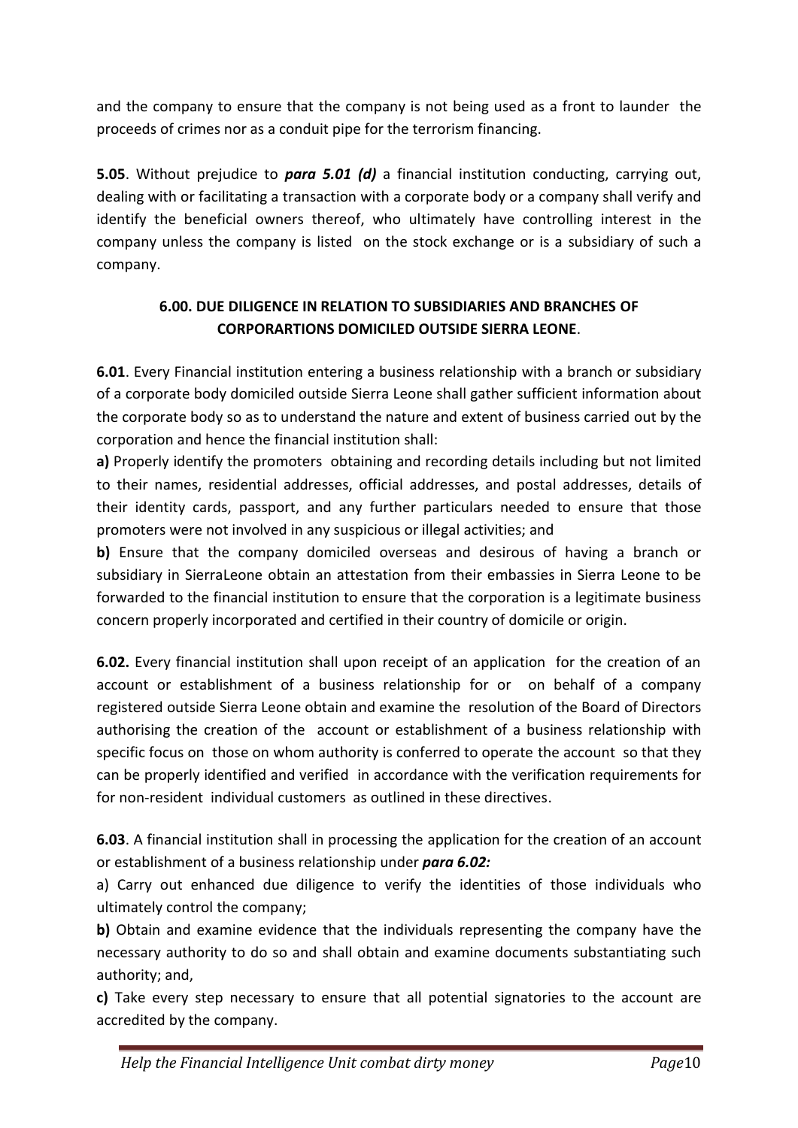and the company to ensure that the company is not being used as a front to launder the proceeds of crimes nor as a conduit pipe for the terrorism financing.

**5.05**. Without prejudice to *para 5.01 (d)* a financial institution conducting, carrying out, dealing with or facilitating a transaction with a corporate body or a company shall verify and identify the beneficial owners thereof, who ultimately have controlling interest in the company unless the company is listed on the stock exchange or is a subsidiary of such a company.

## **6.00. DUE DILIGENCE IN RELATION TO SUBSIDIARIES AND BRANCHES OF CORPORARTIONS DOMICILED OUTSIDE SIERRA LEONE**.

**6.01**. Every Financial institution entering a business relationship with a branch or subsidiary of a corporate body domiciled outside Sierra Leone shall gather sufficient information about the corporate body so as to understand the nature and extent of business carried out by the corporation and hence the financial institution shall:

**a)** Properly identify the promoters obtaining and recording details including but not limited to their names, residential addresses, official addresses, and postal addresses, details of their identity cards, passport, and any further particulars needed to ensure that those promoters were not involved in any suspicious or illegal activities; and

**b)** Ensure that the company domiciled overseas and desirous of having a branch or subsidiary in SierraLeone obtain an attestation from their embassies in Sierra Leone to be forwarded to the financial institution to ensure that the corporation is a legitimate business concern properly incorporated and certified in their country of domicile or origin.

**6.02.** Every financial institution shall upon receipt of an application for the creation of an account or establishment of a business relationship for or on behalf of a company registered outside Sierra Leone obtain and examine the resolution of the Board of Directors authorising the creation of the account or establishment of a business relationship with specific focus on those on whom authority is conferred to operate the account so that they can be properly identified and verified in accordance with the verification requirements for for non-resident individual customers as outlined in these directives.

**6.03**. A financial institution shall in processing the application for the creation of an account or establishment of a business relationship under *para 6.02:*

a) Carry out enhanced due diligence to verify the identities of those individuals who ultimately control the company;

**b)** Obtain and examine evidence that the individuals representing the company have the necessary authority to do so and shall obtain and examine documents substantiating such authority; and,

**c)** Take every step necessary to ensure that all potential signatories to the account are accredited by the company.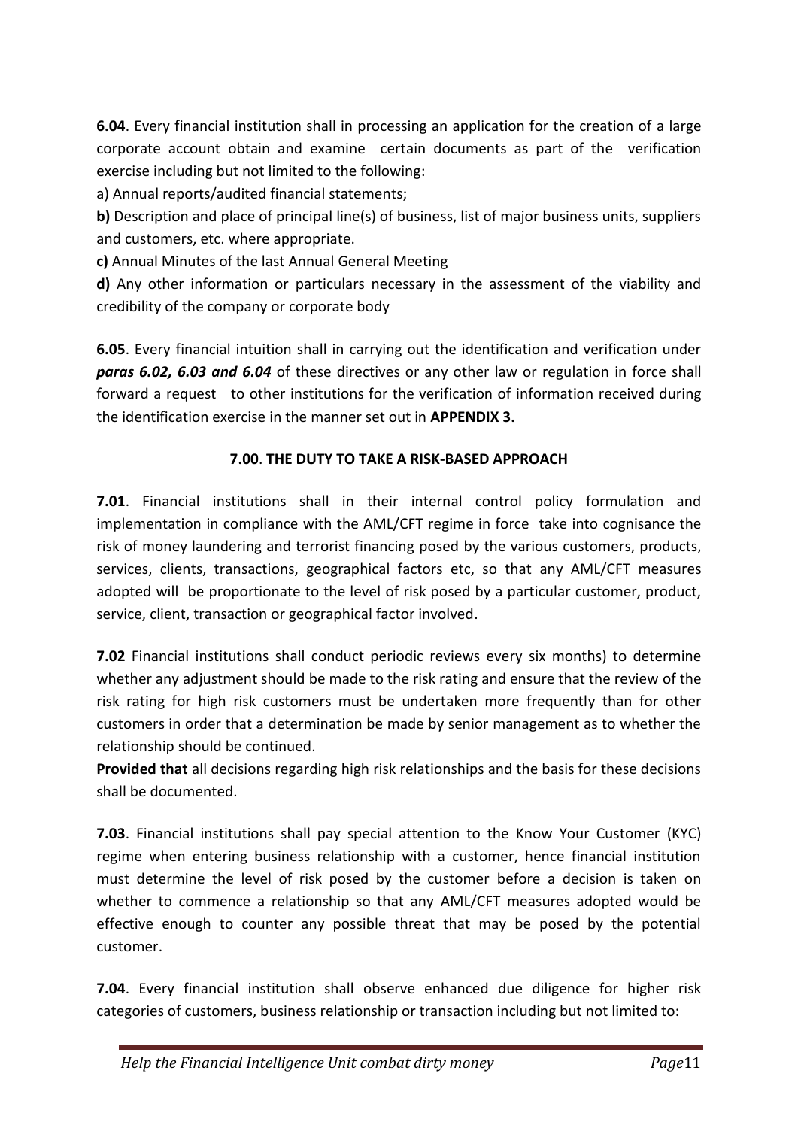**6.04**. Every financial institution shall in processing an application for the creation of a large corporate account obtain and examine certain documents as part of the verification exercise including but not limited to the following:

a) Annual reports/audited financial statements;

**b)** Description and place of principal line(s) of business, list of major business units, suppliers and customers, etc. where appropriate.

**c)** Annual Minutes of the last Annual General Meeting

**d)** Any other information or particulars necessary in the assessment of the viability and credibility of the company or corporate body

**6.05**. Every financial intuition shall in carrying out the identification and verification under *paras 6.02, 6.03 and 6.04* of these directives or any other law or regulation in force shall forward a request to other institutions for the verification of information received during the identification exercise in the manner set out in **APPENDIX 3.**

## **7.00**. **THE DUTY TO TAKE A RISK-BASED APPROACH**

**7.01**. Financial institutions shall in their internal control policy formulation and implementation in compliance with the AML/CFT regime in force take into cognisance the risk of money laundering and terrorist financing posed by the various customers, products, services, clients, transactions, geographical factors etc, so that any AML/CFT measures adopted will be proportionate to the level of risk posed by a particular customer, product, service, client, transaction or geographical factor involved.

**7.02** Financial institutions shall conduct periodic reviews every six months) to determine whether any adjustment should be made to the risk rating and ensure that the review of the risk rating for high risk customers must be undertaken more frequently than for other customers in order that a determination be made by senior management as to whether the relationship should be continued.

**Provided that** all decisions regarding high risk relationships and the basis for these decisions shall be documented.

**7.03**. Financial institutions shall pay special attention to the Know Your Customer (KYC) regime when entering business relationship with a customer, hence financial institution must determine the level of risk posed by the customer before a decision is taken on whether to commence a relationship so that any AML/CFT measures adopted would be effective enough to counter any possible threat that may be posed by the potential customer.

**7.04**. Every financial institution shall observe enhanced due diligence for higher risk categories of customers, business relationship or transaction including but not limited to: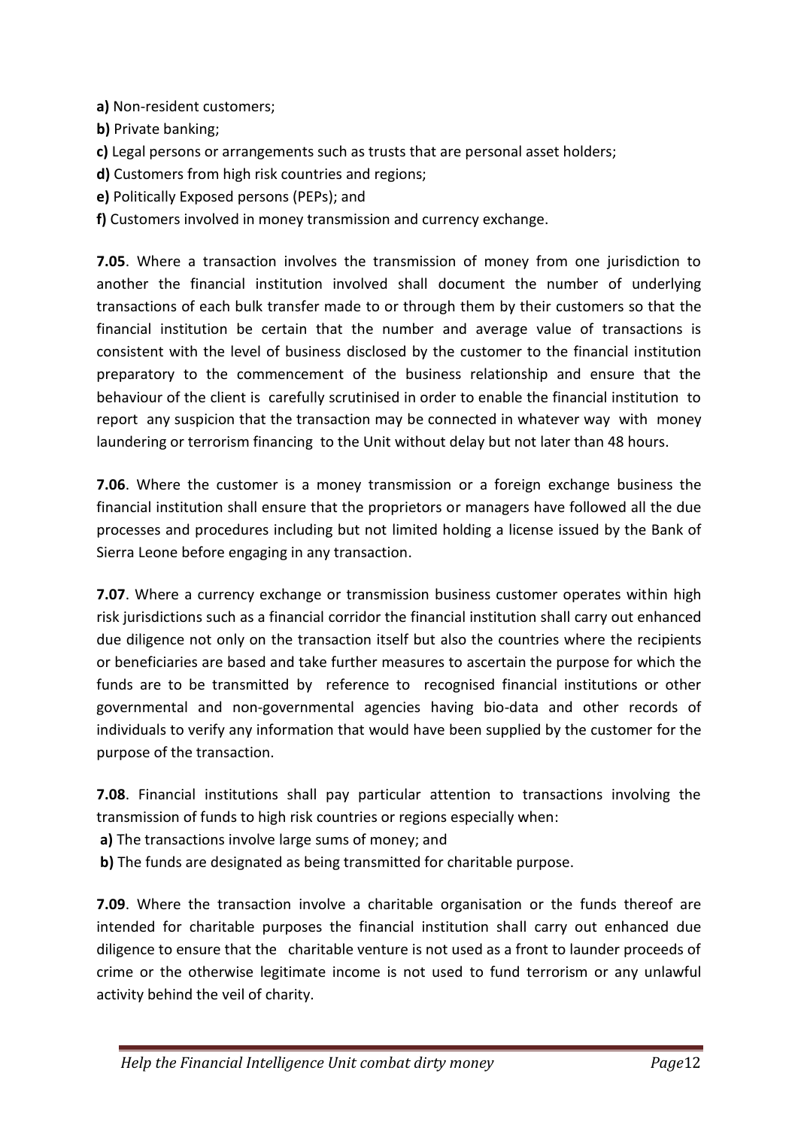- **a)** Non-resident customers;
- **b)** Private banking;
- **c)** Legal persons or arrangements such as trusts that are personal asset holders;
- **d)** Customers from high risk countries and regions;
- **e)** Politically Exposed persons (PEPs); and
- **f)** Customers involved in money transmission and currency exchange.

**7.05**. Where a transaction involves the transmission of money from one jurisdiction to another the financial institution involved shall document the number of underlying transactions of each bulk transfer made to or through them by their customers so that the financial institution be certain that the number and average value of transactions is consistent with the level of business disclosed by the customer to the financial institution preparatory to the commencement of the business relationship and ensure that the behaviour of the client is carefully scrutinised in order to enable the financial institution to report any suspicion that the transaction may be connected in whatever way with money laundering or terrorism financing to the Unit without delay but not later than 48 hours.

**7.06**. Where the customer is a money transmission or a foreign exchange business the financial institution shall ensure that the proprietors or managers have followed all the due processes and procedures including but not limited holding a license issued by the Bank of Sierra Leone before engaging in any transaction.

**7.07**. Where a currency exchange or transmission business customer operates within high risk jurisdictions such as a financial corridor the financial institution shall carry out enhanced due diligence not only on the transaction itself but also the countries where the recipients or beneficiaries are based and take further measures to ascertain the purpose for which the funds are to be transmitted by reference to recognised financial institutions or other governmental and non-governmental agencies having bio-data and other records of individuals to verify any information that would have been supplied by the customer for the purpose of the transaction.

**7.08**. Financial institutions shall pay particular attention to transactions involving the transmission of funds to high risk countries or regions especially when:

- **a)** The transactions involve large sums of money; and
- **b)** The funds are designated as being transmitted for charitable purpose.

**7.09**. Where the transaction involve a charitable organisation or the funds thereof are intended for charitable purposes the financial institution shall carry out enhanced due diligence to ensure that the charitable venture is not used as a front to launder proceeds of crime or the otherwise legitimate income is not used to fund terrorism or any unlawful activity behind the veil of charity.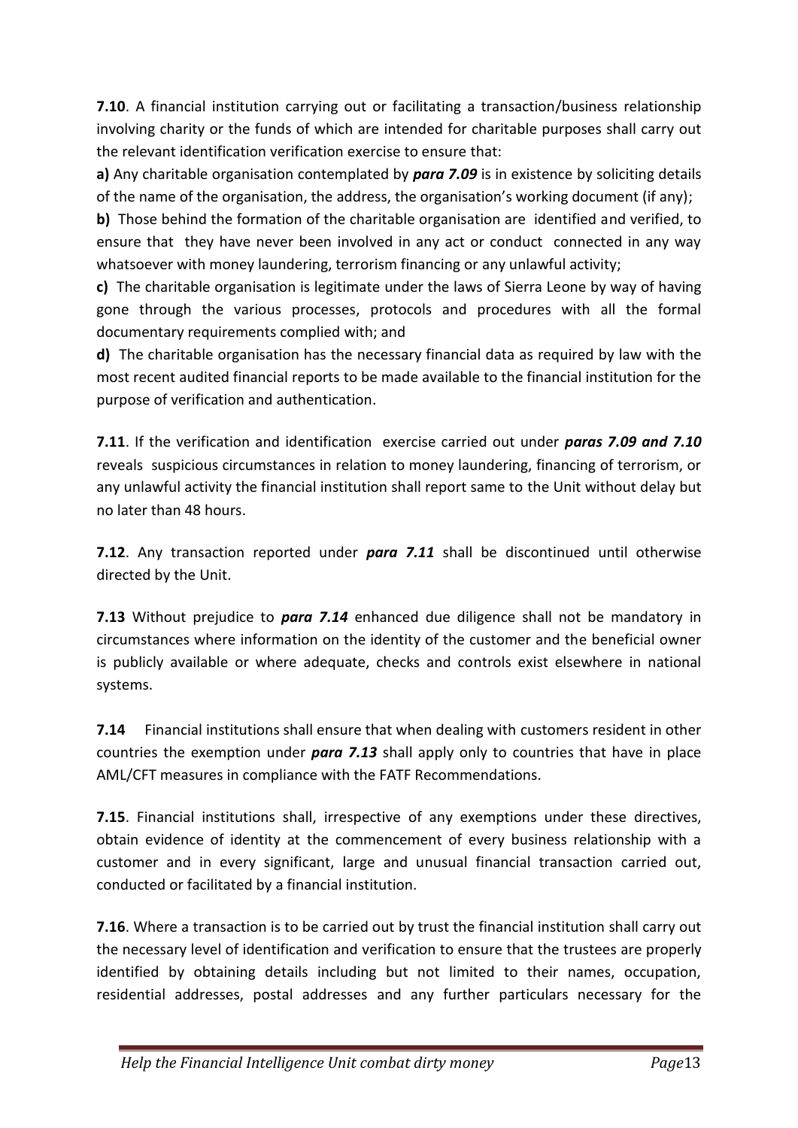**7.10**. A financial institution carrying out or facilitating a transaction/business relationship involving charity or the funds of which are intended for charitable purposes shall carry out the relevant identification verification exercise to ensure that:

**a)** Any charitable organisation contemplated by *para 7.09* is in existence by soliciting details of the name of the organisation, the address, the organisation's working document (if any);

**b)** Those behind the formation of the charitable organisation are identified and verified, to ensure that they have never been involved in any act or conduct connected in any way whatsoever with money laundering, terrorism financing or any unlawful activity;

**c)** The charitable organisation is legitimate under the laws of Sierra Leone by way of having gone through the various processes, protocols and procedures with all the formal documentary requirements complied with; and

**d)** The charitable organisation has the necessary financial data as required by law with the most recent audited financial reports to be made available to the financial institution for the purpose of verification and authentication.

**7.11**. If the verification and identification exercise carried out under *paras 7.09 and 7.10* reveals suspicious circumstances in relation to money laundering, financing of terrorism, or any unlawful activity the financial institution shall report same to the Unit without delay but no later than 48 hours.

**7.12**. Any transaction reported under *para 7.11* shall be discontinued until otherwise directed by the Unit.

**7.13** Without prejudice to *para 7.14* enhanced due diligence shall not be mandatory in circumstances where information on the identity of the customer and the beneficial owner is publicly available or where adequate, checks and controls exist elsewhere in national systems.

**7.14** Financial institutions shall ensure that when dealing with customers resident in other countries the exemption under *para 7.13* shall apply only to countries that have in place AML/CFT measures in compliance with the FATF Recommendations.

**7.15**. Financial institutions shall, irrespective of any exemptions under these directives, obtain evidence of identity at the commencement of every business relationship with a customer and in every significant, large and unusual financial transaction carried out, conducted or facilitated by a financial institution.

**7.16**. Where a transaction is to be carried out by trust the financial institution shall carry out the necessary level of identification and verification to ensure that the trustees are properly identified by obtaining details including but not limited to their names, occupation, residential addresses, postal addresses and any further particulars necessary for the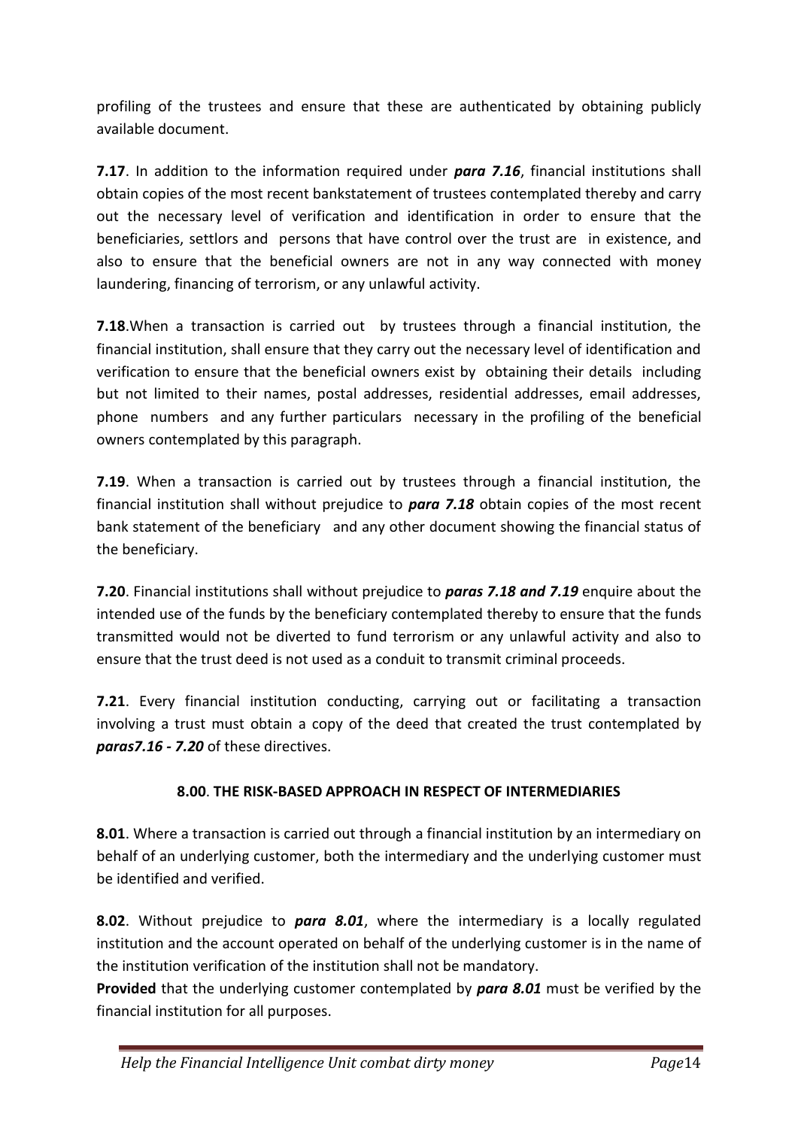profiling of the trustees and ensure that these are authenticated by obtaining publicly available document.

**7.17**. In addition to the information required under *para 7.16*, financial institutions shall obtain copies of the most recent bankstatement of trustees contemplated thereby and carry out the necessary level of verification and identification in order to ensure that the beneficiaries, settlors and persons that have control over the trust are in existence, and also to ensure that the beneficial owners are not in any way connected with money laundering, financing of terrorism, or any unlawful activity.

**7.18**.When a transaction is carried out by trustees through a financial institution, the financial institution, shall ensure that they carry out the necessary level of identification and verification to ensure that the beneficial owners exist by obtaining their details including but not limited to their names, postal addresses, residential addresses, email addresses, phone numbers and any further particulars necessary in the profiling of the beneficial owners contemplated by this paragraph.

**7.19**. When a transaction is carried out by trustees through a financial institution, the financial institution shall without prejudice to *para 7.18* obtain copies of the most recent bank statement of the beneficiary and any other document showing the financial status of the beneficiary.

**7.20**. Financial institutions shall without prejudice to *paras 7.18 and 7.19* enquire about the intended use of the funds by the beneficiary contemplated thereby to ensure that the funds transmitted would not be diverted to fund terrorism or any unlawful activity and also to ensure that the trust deed is not used as a conduit to transmit criminal proceeds.

**7.21**. Every financial institution conducting, carrying out or facilitating a transaction involving a trust must obtain a copy of the deed that created the trust contemplated by *paras7.16 - 7.20* of these directives.

### **8.00**. **THE RISK-BASED APPROACH IN RESPECT OF INTERMEDIARIES**

**8.01**. Where a transaction is carried out through a financial institution by an intermediary on behalf of an underlying customer, both the intermediary and the underlying customer must be identified and verified.

**8.02**. Without prejudice to *para 8.01*, where the intermediary is a locally regulated institution and the account operated on behalf of the underlying customer is in the name of the institution verification of the institution shall not be mandatory.

**Provided** that the underlying customer contemplated by *para 8.01* must be verified by the financial institution for all purposes.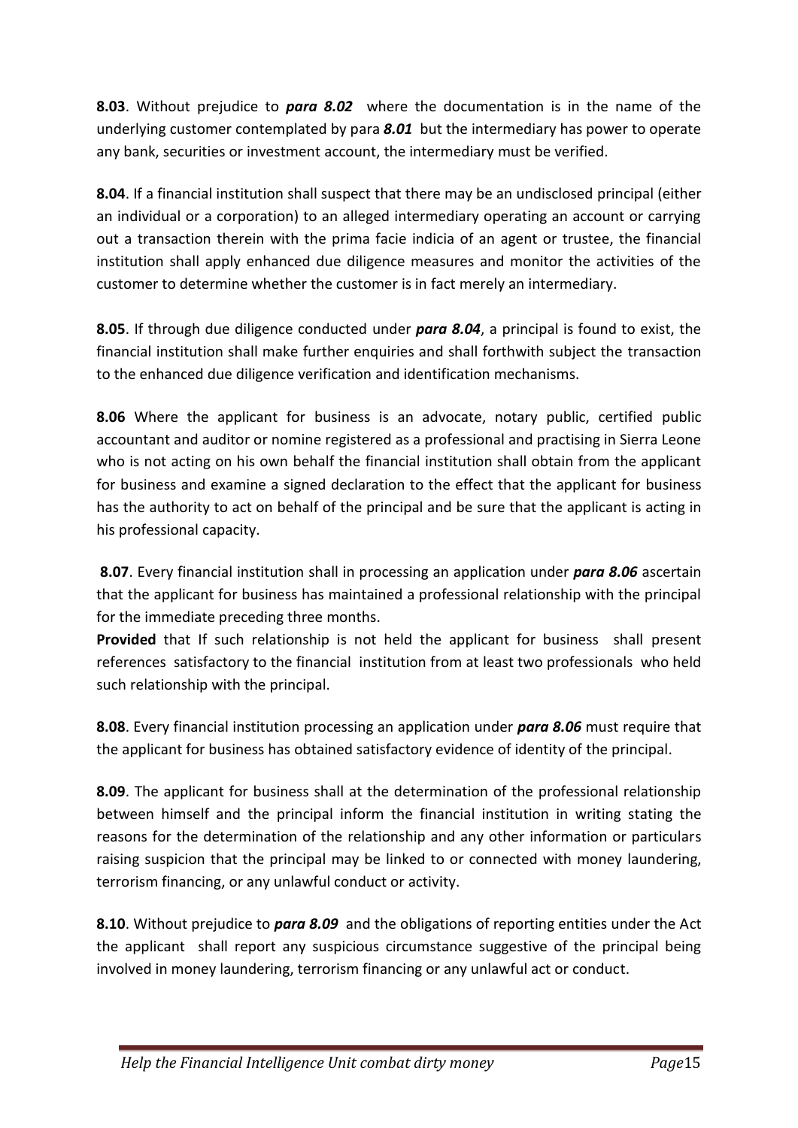**8.03**. Without prejudice to *para 8.02* where the documentation is in the name of the underlying customer contemplated by para *8.01* but the intermediary has power to operate any bank, securities or investment account, the intermediary must be verified.

**8.04**. If a financial institution shall suspect that there may be an undisclosed principal (either an individual or a corporation) to an alleged intermediary operating an account or carrying out a transaction therein with the prima facie indicia of an agent or trustee, the financial institution shall apply enhanced due diligence measures and monitor the activities of the customer to determine whether the customer is in fact merely an intermediary.

**8.05**. If through due diligence conducted under *para 8.04*, a principal is found to exist, the financial institution shall make further enquiries and shall forthwith subject the transaction to the enhanced due diligence verification and identification mechanisms.

**8.06** Where the applicant for business is an advocate, notary public, certified public accountant and auditor or nomine registered as a professional and practising in Sierra Leone who is not acting on his own behalf the financial institution shall obtain from the applicant for business and examine a signed declaration to the effect that the applicant for business has the authority to act on behalf of the principal and be sure that the applicant is acting in his professional capacity.

**8.07**. Every financial institution shall in processing an application under *para 8.06* ascertain that the applicant for business has maintained a professional relationship with the principal for the immediate preceding three months.

**Provided** that If such relationship is not held the applicant for business shall present references satisfactory to the financial institution from at least two professionals who held such relationship with the principal.

**8.08**. Every financial institution processing an application under *para 8.06* must require that the applicant for business has obtained satisfactory evidence of identity of the principal.

**8.09**. The applicant for business shall at the determination of the professional relationship between himself and the principal inform the financial institution in writing stating the reasons for the determination of the relationship and any other information or particulars raising suspicion that the principal may be linked to or connected with money laundering, terrorism financing, or any unlawful conduct or activity.

**8.10**. Without prejudice to *para 8.09* and the obligations of reporting entities under the Act the applicant shall report any suspicious circumstance suggestive of the principal being involved in money laundering, terrorism financing or any unlawful act or conduct.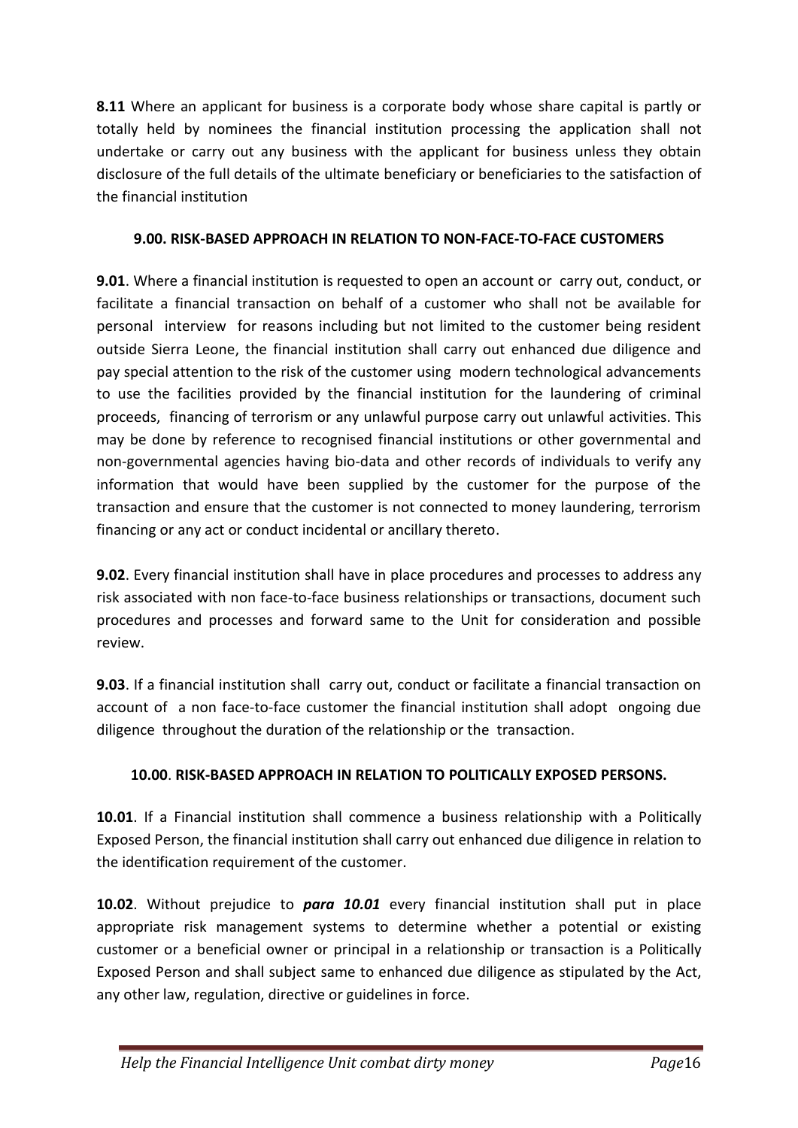**8.11** Where an applicant for business is a corporate body whose share capital is partly or totally held by nominees the financial institution processing the application shall not undertake or carry out any business with the applicant for business unless they obtain disclosure of the full details of the ultimate beneficiary or beneficiaries to the satisfaction of the financial institution

### **9.00. RISK-BASED APPROACH IN RELATION TO NON-FACE-TO-FACE CUSTOMERS**

**9.01**. Where a financial institution is requested to open an account or carry out, conduct, or facilitate a financial transaction on behalf of a customer who shall not be available for personal interview for reasons including but not limited to the customer being resident outside Sierra Leone, the financial institution shall carry out enhanced due diligence and pay special attention to the risk of the customer using modern technological advancements to use the facilities provided by the financial institution for the laundering of criminal proceeds, financing of terrorism or any unlawful purpose carry out unlawful activities. This may be done by reference to recognised financial institutions or other governmental and non-governmental agencies having bio-data and other records of individuals to verify any information that would have been supplied by the customer for the purpose of the transaction and ensure that the customer is not connected to money laundering, terrorism financing or any act or conduct incidental or ancillary thereto.

**9.02**. Every financial institution shall have in place procedures and processes to address any risk associated with non face-to-face business relationships or transactions, document such procedures and processes and forward same to the Unit for consideration and possible review.

**9.03**. If a financial institution shall carry out, conduct or facilitate a financial transaction on account of a non face-to-face customer the financial institution shall adopt ongoing due diligence throughout the duration of the relationship or the transaction.

### **10.00**. **RISK-BASED APPROACH IN RELATION TO POLITICALLY EXPOSED PERSONS.**

**10.01**. If a Financial institution shall commence a business relationship with a Politically Exposed Person, the financial institution shall carry out enhanced due diligence in relation to the identification requirement of the customer.

**10.02**. Without prejudice to *para 10.01* every financial institution shall put in place appropriate risk management systems to determine whether a potential or existing customer or a beneficial owner or principal in a relationship or transaction is a Politically Exposed Person and shall subject same to enhanced due diligence as stipulated by the Act, any other law, regulation, directive or guidelines in force.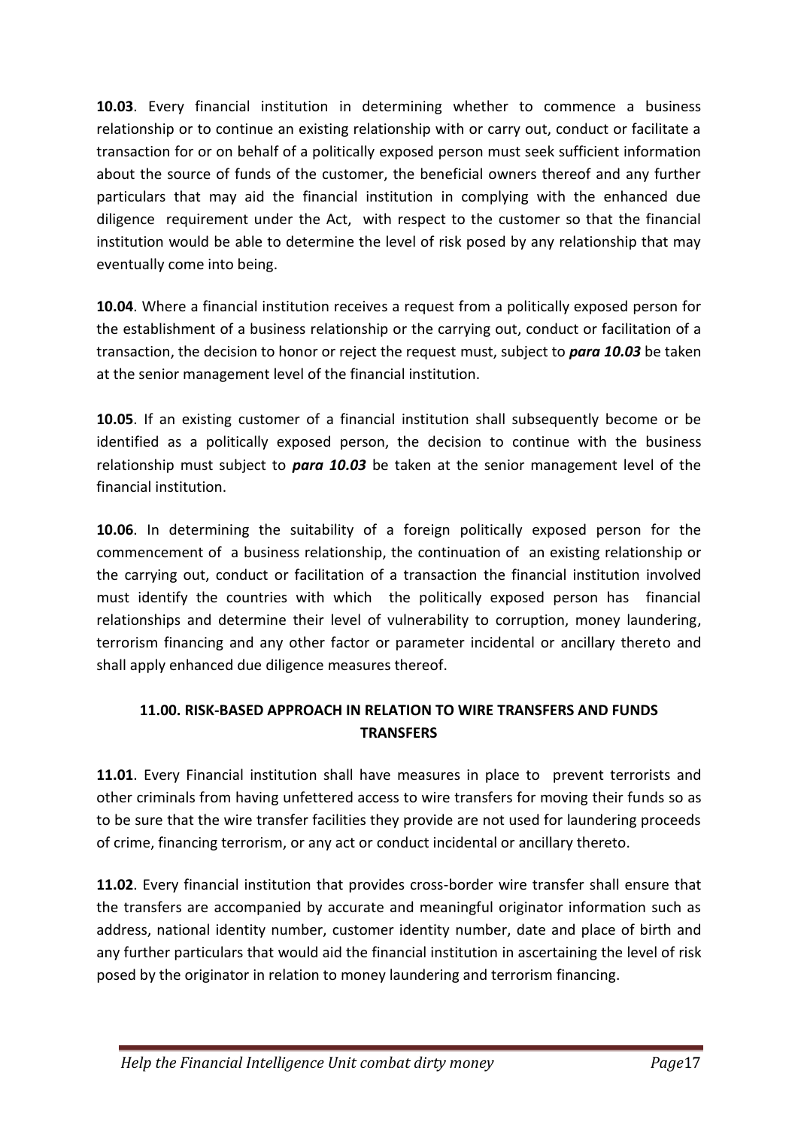**10.03**. Every financial institution in determining whether to commence a business relationship or to continue an existing relationship with or carry out, conduct or facilitate a transaction for or on behalf of a politically exposed person must seek sufficient information about the source of funds of the customer, the beneficial owners thereof and any further particulars that may aid the financial institution in complying with the enhanced due diligence requirement under the Act, with respect to the customer so that the financial institution would be able to determine the level of risk posed by any relationship that may eventually come into being.

**10.04**. Where a financial institution receives a request from a politically exposed person for the establishment of a business relationship or the carrying out, conduct or facilitation of a transaction, the decision to honor or reject the request must, subject to *para 10.03* be taken at the senior management level of the financial institution.

**10.05**. If an existing customer of a financial institution shall subsequently become or be identified as a politically exposed person, the decision to continue with the business relationship must subject to *para 10.03* be taken at the senior management level of the financial institution.

**10.06**. In determining the suitability of a foreign politically exposed person for the commencement of a business relationship, the continuation of an existing relationship or the carrying out, conduct or facilitation of a transaction the financial institution involved must identify the countries with which the politically exposed person has financial relationships and determine their level of vulnerability to corruption, money laundering, terrorism financing and any other factor or parameter incidental or ancillary thereto and shall apply enhanced due diligence measures thereof.

## **11.00. RISK-BASED APPROACH IN RELATION TO WIRE TRANSFERS AND FUNDS TRANSFERS**

**11.01**. Every Financial institution shall have measures in place to prevent terrorists and other criminals from having unfettered access to wire transfers for moving their funds so as to be sure that the wire transfer facilities they provide are not used for laundering proceeds of crime, financing terrorism, or any act or conduct incidental or ancillary thereto.

**11.02**. Every financial institution that provides cross-border wire transfer shall ensure that the transfers are accompanied by accurate and meaningful originator information such as address, national identity number, customer identity number, date and place of birth and any further particulars that would aid the financial institution in ascertaining the level of risk posed by the originator in relation to money laundering and terrorism financing.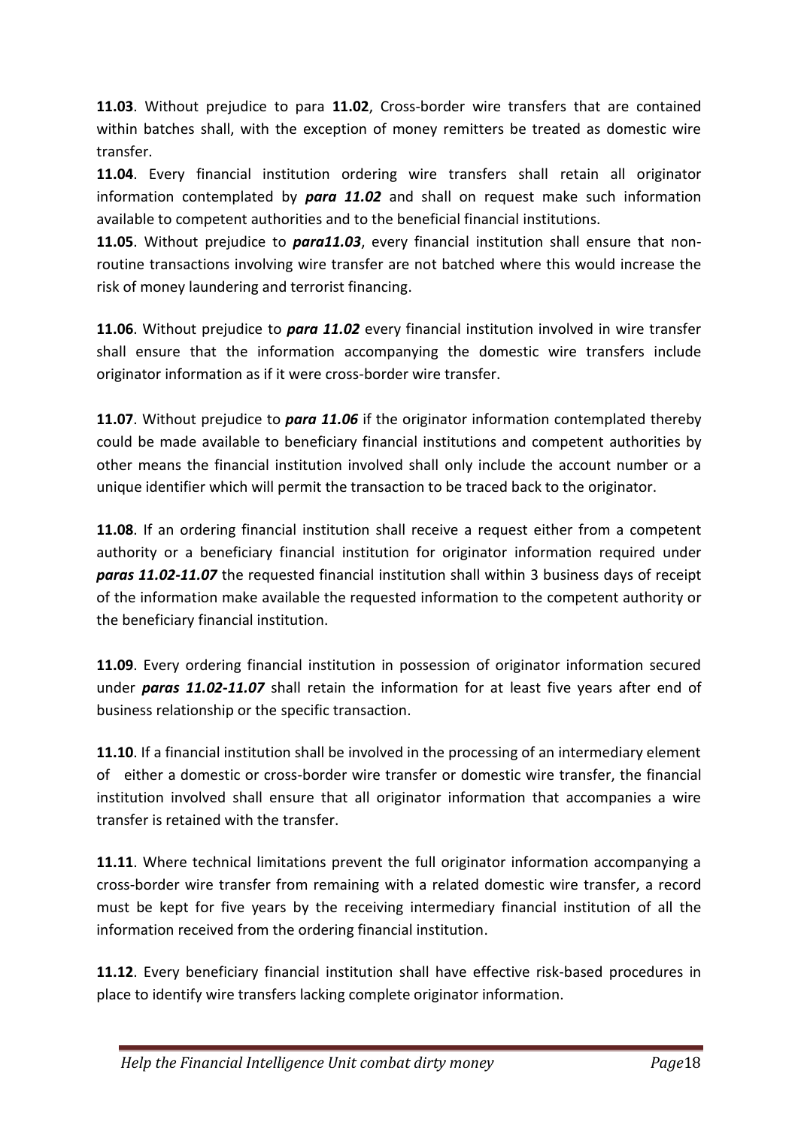**11.03**. Without prejudice to para **11.02**, Cross-border wire transfers that are contained within batches shall, with the exception of money remitters be treated as domestic wire transfer.

**11.04**. Every financial institution ordering wire transfers shall retain all originator information contemplated by *para 11.02* and shall on request make such information available to competent authorities and to the beneficial financial institutions.

**11.05**. Without prejudice to *para11.03*, every financial institution shall ensure that nonroutine transactions involving wire transfer are not batched where this would increase the risk of money laundering and terrorist financing.

**11.06**. Without prejudice to *para 11.02* every financial institution involved in wire transfer shall ensure that the information accompanying the domestic wire transfers include originator information as if it were cross-border wire transfer.

**11.07**. Without prejudice to *para 11.06* if the originator information contemplated thereby could be made available to beneficiary financial institutions and competent authorities by other means the financial institution involved shall only include the account number or a unique identifier which will permit the transaction to be traced back to the originator.

**11.08**. If an ordering financial institution shall receive a request either from a competent authority or a beneficiary financial institution for originator information required under *paras 11.02-11.07* the requested financial institution shall within 3 business days of receipt of the information make available the requested information to the competent authority or the beneficiary financial institution.

**11.09**. Every ordering financial institution in possession of originator information secured under *paras 11.02-11.07* shall retain the information for at least five years after end of business relationship or the specific transaction.

**11.10**. If a financial institution shall be involved in the processing of an intermediary element of either a domestic or cross-border wire transfer or domestic wire transfer, the financial institution involved shall ensure that all originator information that accompanies a wire transfer is retained with the transfer.

**11.11**. Where technical limitations prevent the full originator information accompanying a cross-border wire transfer from remaining with a related domestic wire transfer, a record must be kept for five years by the receiving intermediary financial institution of all the information received from the ordering financial institution.

**11.12**. Every beneficiary financial institution shall have effective risk-based procedures in place to identify wire transfers lacking complete originator information.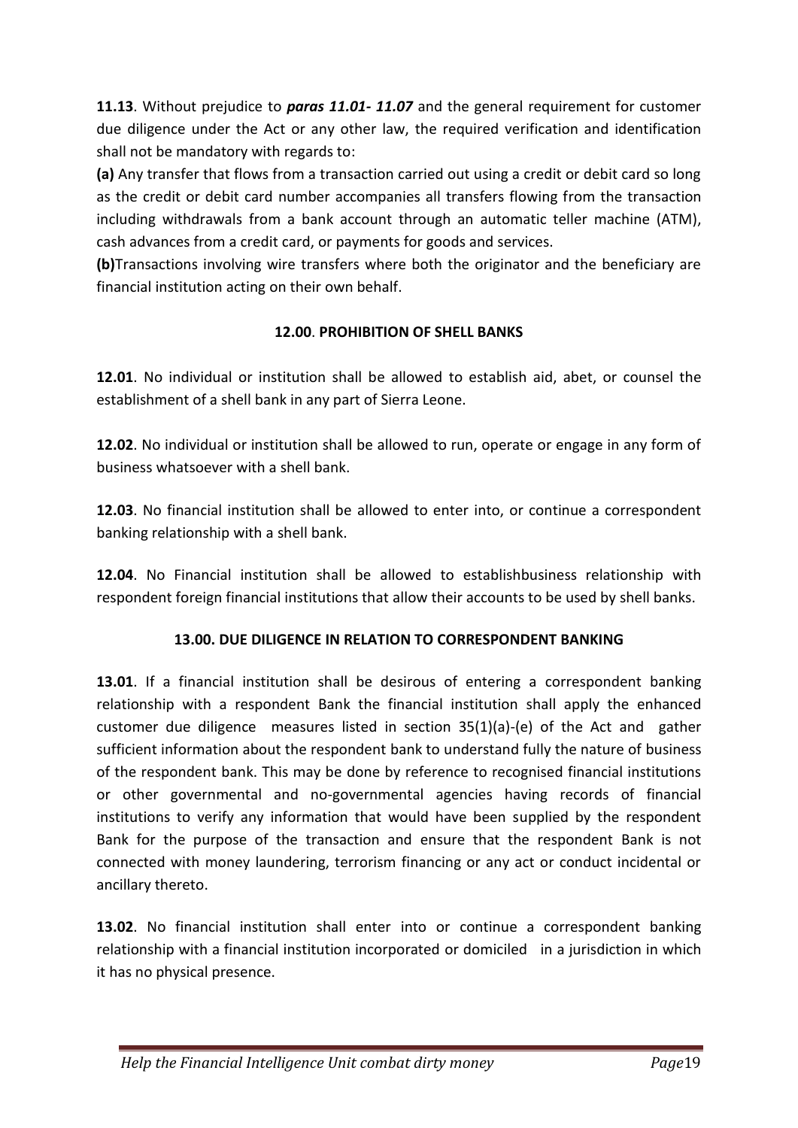**11.13**. Without prejudice to *paras 11.01- 11.07* and the general requirement for customer due diligence under the Act or any other law, the required verification and identification shall not be mandatory with regards to:

**(a)** Any transfer that flows from a transaction carried out using a credit or debit card so long as the credit or debit card number accompanies all transfers flowing from the transaction including withdrawals from a bank account through an automatic teller machine (ATM), cash advances from a credit card, or payments for goods and services.

**(b)**Transactions involving wire transfers where both the originator and the beneficiary are financial institution acting on their own behalf.

## **12.00**. **PROHIBITION OF SHELL BANKS**

**12.01**. No individual or institution shall be allowed to establish aid, abet, or counsel the establishment of a shell bank in any part of Sierra Leone.

**12.02**. No individual or institution shall be allowed to run, operate or engage in any form of business whatsoever with a shell bank.

**12.03**. No financial institution shall be allowed to enter into, or continue a correspondent banking relationship with a shell bank.

**12.04**. No Financial institution shall be allowed to establishbusiness relationship with respondent foreign financial institutions that allow their accounts to be used by shell banks.

## **13.00. DUE DILIGENCE IN RELATION TO CORRESPONDENT BANKING**

**13.01**. If a financial institution shall be desirous of entering a correspondent banking relationship with a respondent Bank the financial institution shall apply the enhanced customer due diligence measures listed in section 35(1)(a)-(e) of the Act and gather sufficient information about the respondent bank to understand fully the nature of business of the respondent bank. This may be done by reference to recognised financial institutions or other governmental and no-governmental agencies having records of financial institutions to verify any information that would have been supplied by the respondent Bank for the purpose of the transaction and ensure that the respondent Bank is not connected with money laundering, terrorism financing or any act or conduct incidental or ancillary thereto.

**13.02**. No financial institution shall enter into or continue a correspondent banking relationship with a financial institution incorporated or domiciled in a jurisdiction in which it has no physical presence.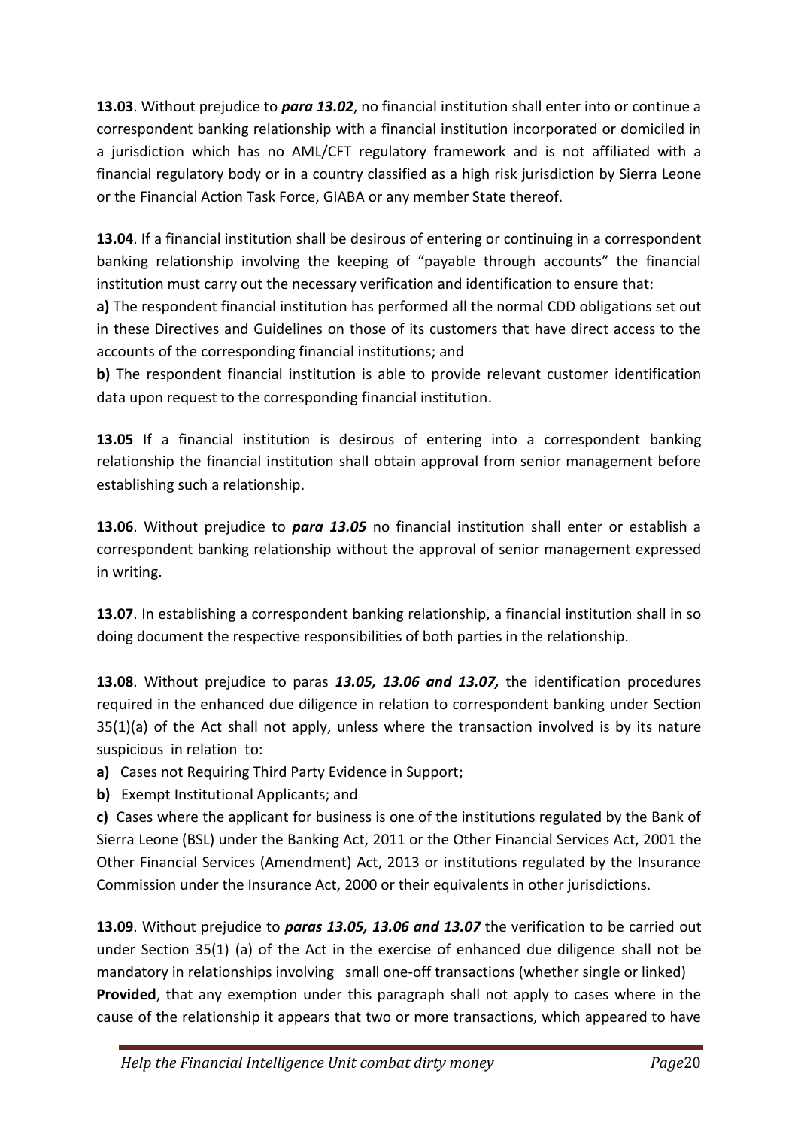**13.03**. Without prejudice to *para 13.02*, no financial institution shall enter into or continue a correspondent banking relationship with a financial institution incorporated or domiciled in a jurisdiction which has no AML/CFT regulatory framework and is not affiliated with a financial regulatory body or in a country classified as a high risk jurisdiction by Sierra Leone or the Financial Action Task Force, GIABA or any member State thereof.

**13.04**. If a financial institution shall be desirous of entering or continuing in a correspondent banking relationship involving the keeping of "payable through accounts" the financial institution must carry out the necessary verification and identification to ensure that:

**a)** The respondent financial institution has performed all the normal CDD obligations set out in these Directives and Guidelines on those of its customers that have direct access to the accounts of the corresponding financial institutions; and

**b)** The respondent financial institution is able to provide relevant customer identification data upon request to the corresponding financial institution.

**13.05** If a financial institution is desirous of entering into a correspondent banking relationship the financial institution shall obtain approval from senior management before establishing such a relationship.

**13.06**. Without prejudice to *para 13.05* no financial institution shall enter or establish a correspondent banking relationship without the approval of senior management expressed in writing.

**13.07**. In establishing a correspondent banking relationship, a financial institution shall in so doing document the respective responsibilities of both parties in the relationship.

**13.08**. Without prejudice to paras *13.05, 13.06 and 13.07,* the identification procedures required in the enhanced due diligence in relation to correspondent banking under Section 35(1)(a) of the Act shall not apply, unless where the transaction involved is by its nature suspicious in relation to:

**a)** Cases not Requiring Third Party Evidence in Support;

**b)** Exempt Institutional Applicants; and

**c)** Cases where the applicant for business is one of the institutions regulated by the Bank of Sierra Leone (BSL) under the Banking Act, 2011 or the Other Financial Services Act, 2001 the Other Financial Services (Amendment) Act, 2013 or institutions regulated by the Insurance Commission under the Insurance Act, 2000 or their equivalents in other jurisdictions.

**13.09**. Without prejudice to *paras 13.05, 13.06 and 13.07* the verification to be carried out under Section 35(1) (a) of the Act in the exercise of enhanced due diligence shall not be mandatory in relationships involving small one-off transactions (whether single or linked) **Provided**, that any exemption under this paragraph shall not apply to cases where in the cause of the relationship it appears that two or more transactions, which appeared to have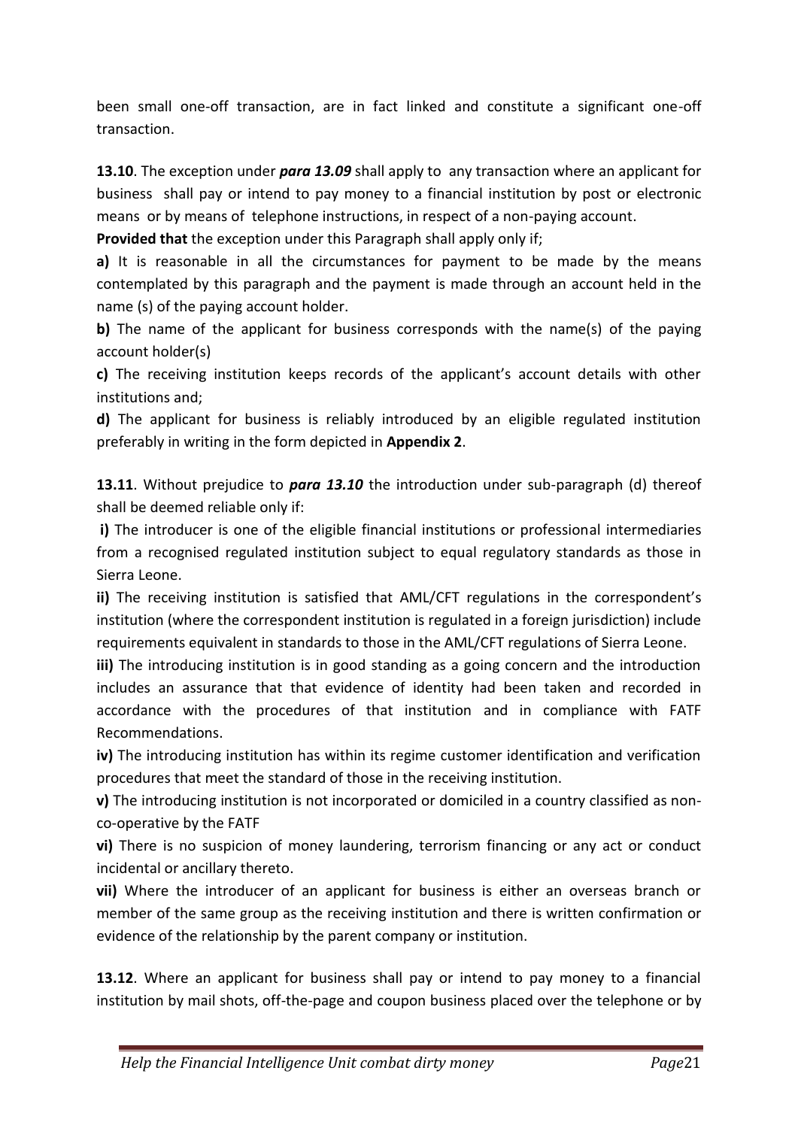been small one-off transaction, are in fact linked and constitute a significant one-off transaction.

**13.10**. The exception under *para 13.09* shall apply to any transaction where an applicant for business shall pay or intend to pay money to a financial institution by post or electronic means or by means of telephone instructions, in respect of a non-paying account.

**Provided that** the exception under this Paragraph shall apply only if;

**a)** It is reasonable in all the circumstances for payment to be made by the means contemplated by this paragraph and the payment is made through an account held in the name (s) of the paying account holder.

**b)** The name of the applicant for business corresponds with the name(s) of the paying account holder(s)

**c)** The receiving institution keeps records of the applicant's account details with other institutions and;

**d)** The applicant for business is reliably introduced by an eligible regulated institution preferably in writing in the form depicted in **Appendix 2**.

**13.11**. Without prejudice to *para 13.10* the introduction under sub-paragraph (d) thereof shall be deemed reliable only if:

**i)** The introducer is one of the eligible financial institutions or professional intermediaries from a recognised regulated institution subject to equal regulatory standards as those in Sierra Leone.

**ii)** The receiving institution is satisfied that AML/CFT regulations in the correspondent's institution (where the correspondent institution is regulated in a foreign jurisdiction) include requirements equivalent in standards to those in the AML/CFT regulations of Sierra Leone.

**iii)** The introducing institution is in good standing as a going concern and the introduction includes an assurance that that evidence of identity had been taken and recorded in accordance with the procedures of that institution and in compliance with FATF Recommendations.

**iv)** The introducing institution has within its regime customer identification and verification procedures that meet the standard of those in the receiving institution.

**v)** The introducing institution is not incorporated or domiciled in a country classified as nonco-operative by the FATF

**vi)** There is no suspicion of money laundering, terrorism financing or any act or conduct incidental or ancillary thereto.

**vii)** Where the introducer of an applicant for business is either an overseas branch or member of the same group as the receiving institution and there is written confirmation or evidence of the relationship by the parent company or institution.

**13.12**. Where an applicant for business shall pay or intend to pay money to a financial institution by mail shots, off-the-page and coupon business placed over the telephone or by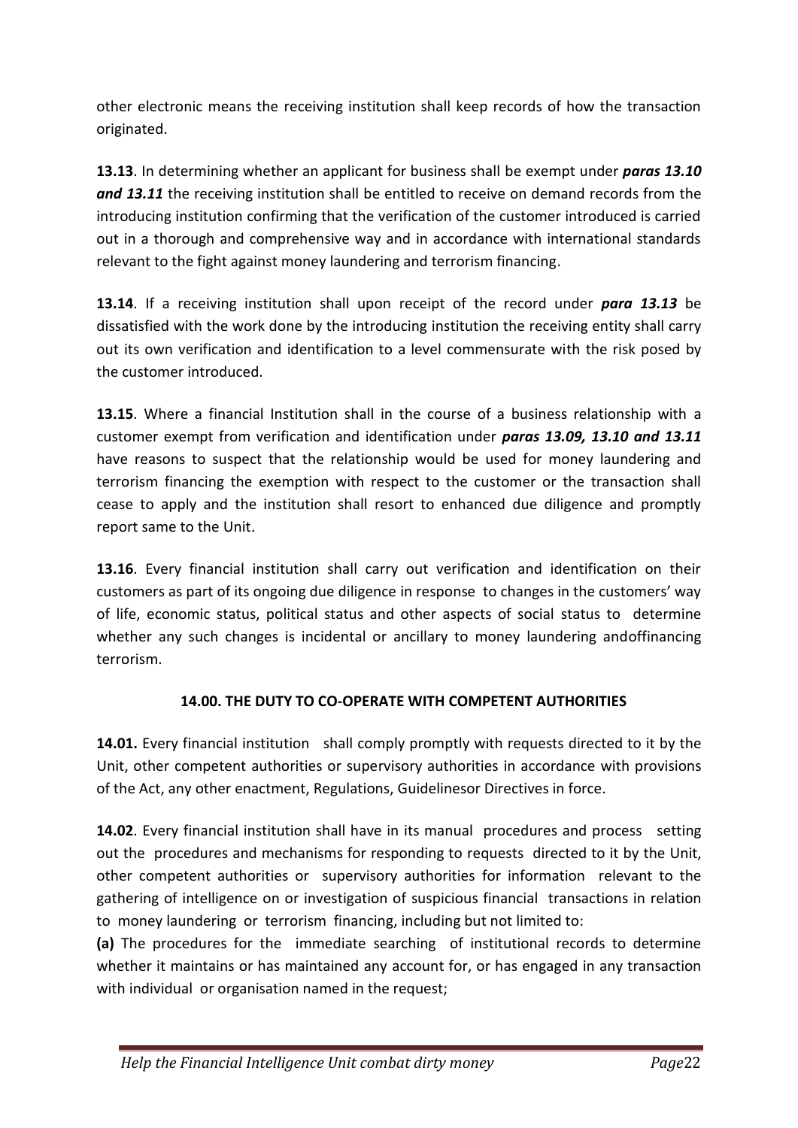other electronic means the receiving institution shall keep records of how the transaction originated.

**13.13**. In determining whether an applicant for business shall be exempt under *paras 13.10 and 13.11* the receiving institution shall be entitled to receive on demand records from the introducing institution confirming that the verification of the customer introduced is carried out in a thorough and comprehensive way and in accordance with international standards relevant to the fight against money laundering and terrorism financing.

**13.14**. If a receiving institution shall upon receipt of the record under *para 13.13* be dissatisfied with the work done by the introducing institution the receiving entity shall carry out its own verification and identification to a level commensurate with the risk posed by the customer introduced.

**13.15**. Where a financial Institution shall in the course of a business relationship with a customer exempt from verification and identification under *paras 13.09, 13.10 and 13.11* have reasons to suspect that the relationship would be used for money laundering and terrorism financing the exemption with respect to the customer or the transaction shall cease to apply and the institution shall resort to enhanced due diligence and promptly report same to the Unit.

**13.16**. Every financial institution shall carry out verification and identification on their customers as part of its ongoing due diligence in response to changes in the customers' way of life, economic status, political status and other aspects of social status to determine whether any such changes is incidental or ancillary to money laundering andoffinancing terrorism.

## **14.00. THE DUTY TO CO-OPERATE WITH COMPETENT AUTHORITIES**

**14.01.** Every financial institution shall comply promptly with requests directed to it by the Unit, other competent authorities or supervisory authorities in accordance with provisions of the Act, any other enactment, Regulations, Guidelinesor Directives in force.

**14.02**. Every financial institution shall have in its manual procedures and process setting out the procedures and mechanisms for responding to requests directed to it by the Unit, other competent authorities or supervisory authorities for information relevant to the gathering of intelligence on or investigation of suspicious financial transactions in relation to money laundering or terrorism financing, including but not limited to:

**(a)** The procedures for the immediate searching of institutional records to determine whether it maintains or has maintained any account for, or has engaged in any transaction with individual or organisation named in the request;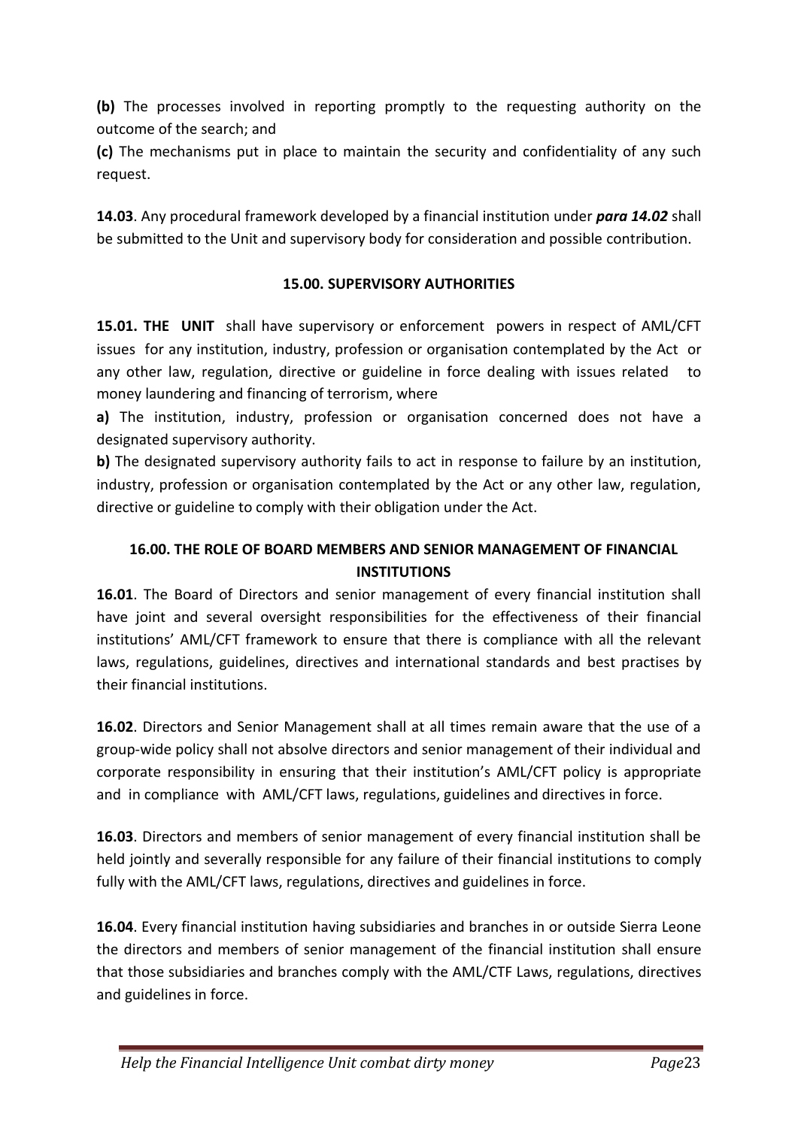**(b)** The processes involved in reporting promptly to the requesting authority on the outcome of the search; and

**(c)** The mechanisms put in place to maintain the security and confidentiality of any such request.

**14.03**. Any procedural framework developed by a financial institution under *para 14.02* shall be submitted to the Unit and supervisory body for consideration and possible contribution.

## **15.00. SUPERVISORY AUTHORITIES**

**15.01. THE UNIT** shall have supervisory or enforcement powers in respect of AML/CFT issues for any institution, industry, profession or organisation contemplated by the Act or any other law, regulation, directive or guideline in force dealing with issues related money laundering and financing of terrorism, where

**a)** The institution, industry, profession or organisation concerned does not have a designated supervisory authority.

**b)** The designated supervisory authority fails to act in response to failure by an institution, industry, profession or organisation contemplated by the Act or any other law, regulation, directive or guideline to comply with their obligation under the Act.

## **16.00. THE ROLE OF BOARD MEMBERS AND SENIOR MANAGEMENT OF FINANCIAL INSTITUTIONS**

**16.01**. The Board of Directors and senior management of every financial institution shall have joint and several oversight responsibilities for the effectiveness of their financial institutions' AML/CFT framework to ensure that there is compliance with all the relevant laws, regulations, guidelines, directives and international standards and best practises by their financial institutions.

**16.02**. Directors and Senior Management shall at all times remain aware that the use of a group-wide policy shall not absolve directors and senior management of their individual and corporate responsibility in ensuring that their institution's AML/CFT policy is appropriate and in compliance with AML/CFT laws, regulations, guidelines and directives in force.

**16.03**. Directors and members of senior management of every financial institution shall be held jointly and severally responsible for any failure of their financial institutions to comply fully with the AML/CFT laws, regulations, directives and guidelines in force.

**16.04**. Every financial institution having subsidiaries and branches in or outside Sierra Leone the directors and members of senior management of the financial institution shall ensure that those subsidiaries and branches comply with the AML/CTF Laws, regulations, directives and guidelines in force.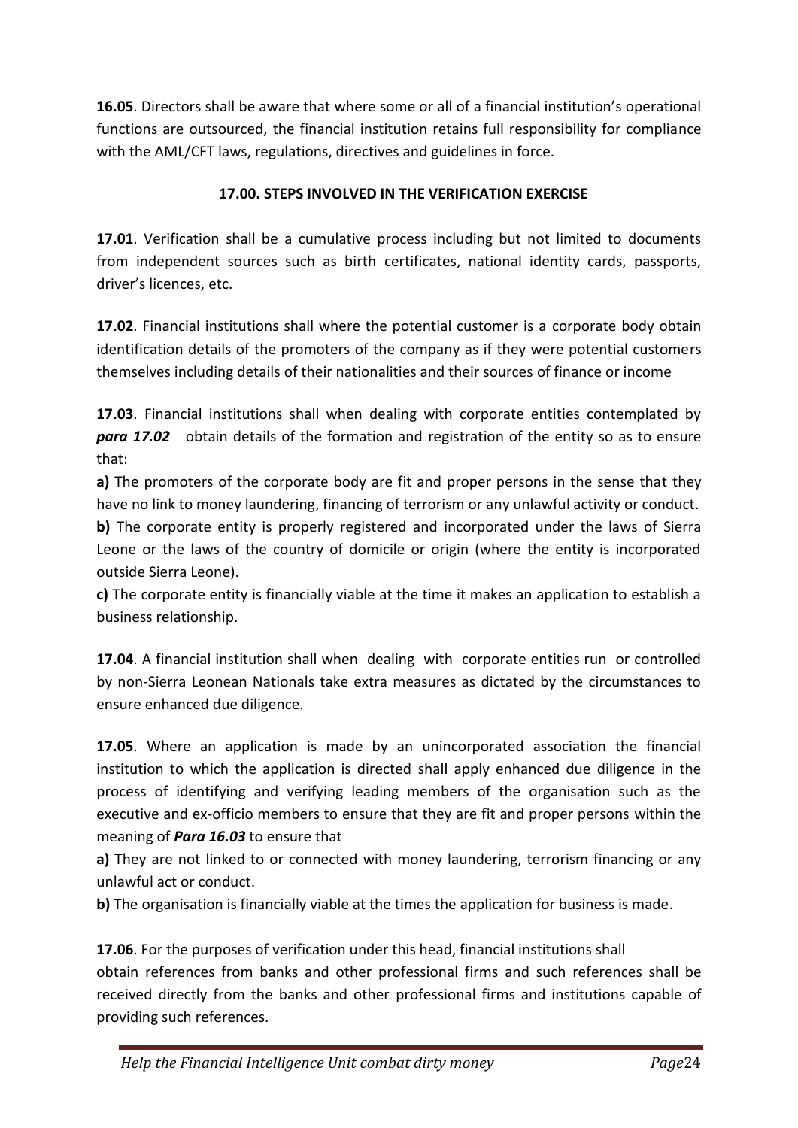**16.05**. Directors shall be aware that where some or all of a financial institution's operational functions are outsourced, the financial institution retains full responsibility for compliance with the AML/CFT laws, regulations, directives and guidelines in force.

## **17.00. STEPS INVOLVED IN THE VERIFICATION EXERCISE**

**17.01**. Verification shall be a cumulative process including but not limited to documents from independent sources such as birth certificates, national identity cards, passports, driver's licences, etc.

**17.02**. Financial institutions shall where the potential customer is a corporate body obtain identification details of the promoters of the company as if they were potential customers themselves including details of their nationalities and their sources of finance or income

**17.03**. Financial institutions shall when dealing with corporate entities contemplated by *para 17.02* obtain details of the formation and registration of the entity so as to ensure that:

**a)** The promoters of the corporate body are fit and proper persons in the sense that they have no link to money laundering, financing of terrorism or any unlawful activity or conduct. **b)** The corporate entity is properly registered and incorporated under the laws of Sierra Leone or the laws of the country of domicile or origin (where the entity is incorporated outside Sierra Leone).

**c)** The corporate entity is financially viable at the time it makes an application to establish a business relationship.

**17.04**. A financial institution shall when dealing with corporate entities run or controlled by non-Sierra Leonean Nationals take extra measures as dictated by the circumstances to ensure enhanced due diligence.

**17.05**. Where an application is made by an unincorporated association the financial institution to which the application is directed shall apply enhanced due diligence in the process of identifying and verifying leading members of the organisation such as the executive and ex-officio members to ensure that they are fit and proper persons within the meaning of *Para 16.03* to ensure that

**a)** They are not linked to or connected with money laundering, terrorism financing or any unlawful act or conduct.

**b**) The organisation is financially viable at the times the application for business is made.

**17.06**. For the purposes of verification under this head, financial institutions shall obtain references from banks and other professional firms and such references shall be received directly from the banks and other professional firms and institutions capable of providing such references.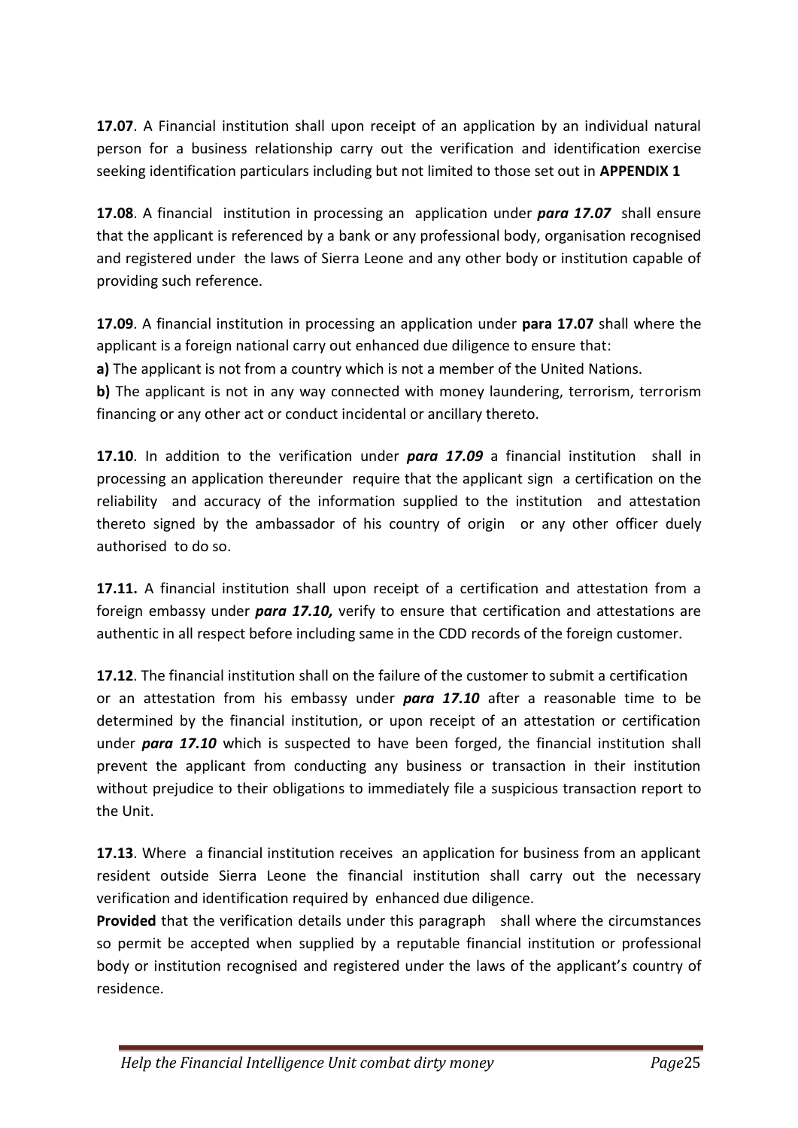**17.07**. A Financial institution shall upon receipt of an application by an individual natural person for a business relationship carry out the verification and identification exercise seeking identification particulars including but not limited to those set out in **APPENDIX 1**

**17.08**. A financial institution in processing an application under *para 17.07* shall ensure that the applicant is referenced by a bank or any professional body, organisation recognised and registered under the laws of Sierra Leone and any other body or institution capable of providing such reference.

**17.09**. A financial institution in processing an application under **para 17.07** shall where the applicant is a foreign national carry out enhanced due diligence to ensure that:

**a)** The applicant is not from a country which is not a member of the United Nations.

**b)** The applicant is not in any way connected with money laundering, terrorism, terrorism financing or any other act or conduct incidental or ancillary thereto.

**17.10**. In addition to the verification under *para 17.09* a financial institution shall in processing an application thereunder require that the applicant sign a certification on the reliability and accuracy of the information supplied to the institution and attestation thereto signed by the ambassador of his country of origin or any other officer duely authorised to do so.

17.11. A financial institution shall upon receipt of a certification and attestation from a foreign embassy under *para 17.10,* verify to ensure that certification and attestations are authentic in all respect before including same in the CDD records of the foreign customer.

**17.12**. The financial institution shall on the failure of the customer to submit a certification or an attestation from his embassy under *para 17.10* after a reasonable time to be determined by the financial institution, or upon receipt of an attestation or certification under *para 17.10* which is suspected to have been forged, the financial institution shall prevent the applicant from conducting any business or transaction in their institution without prejudice to their obligations to immediately file a suspicious transaction report to the Unit.

**17.13**. Where a financial institution receives an application for business from an applicant resident outside Sierra Leone the financial institution shall carry out the necessary verification and identification required by enhanced due diligence.

**Provided** that the verification details under this paragraph shall where the circumstances so permit be accepted when supplied by a reputable financial institution or professional body or institution recognised and registered under the laws of the applicant's country of residence.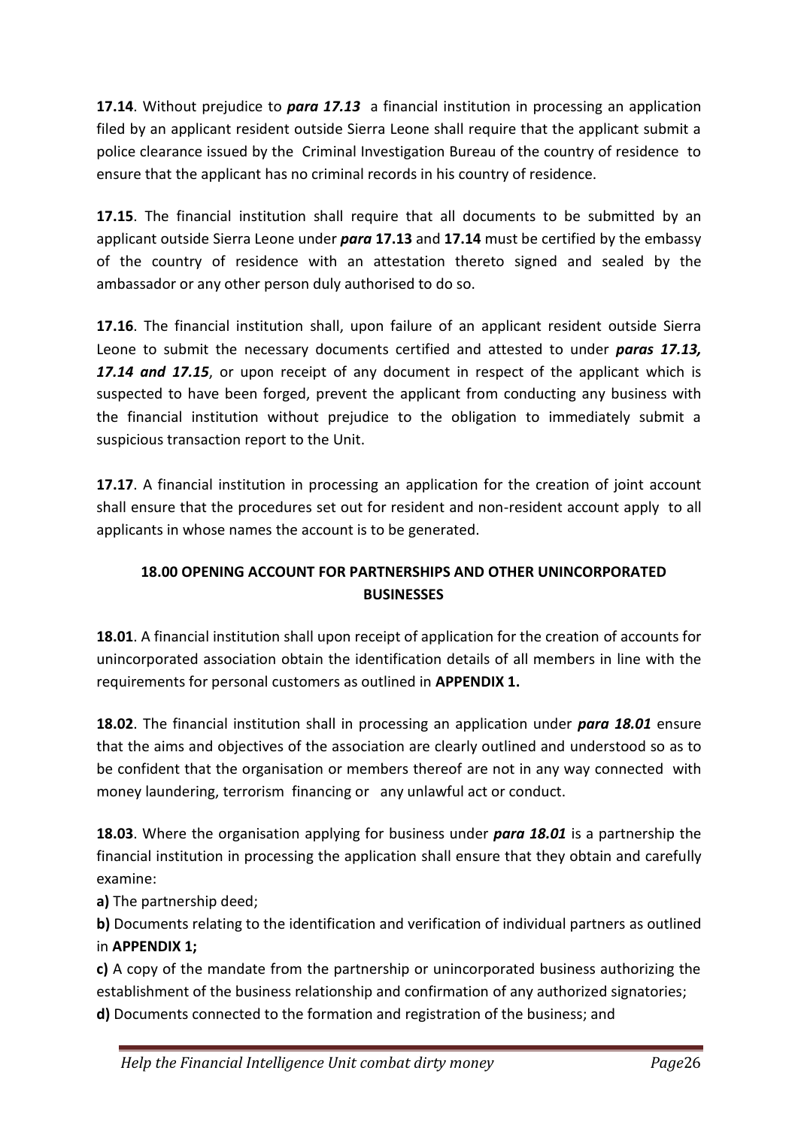**17.14**. Without prejudice to *para 17.13* a financial institution in processing an application filed by an applicant resident outside Sierra Leone shall require that the applicant submit a police clearance issued by the Criminal Investigation Bureau of the country of residence to ensure that the applicant has no criminal records in his country of residence.

**17.15**. The financial institution shall require that all documents to be submitted by an applicant outside Sierra Leone under *para* **17.13** and **17.14** must be certified by the embassy of the country of residence with an attestation thereto signed and sealed by the ambassador or any other person duly authorised to do so.

**17.16**. The financial institution shall, upon failure of an applicant resident outside Sierra Leone to submit the necessary documents certified and attested to under *paras 17.13, 17.14 and 17.15*, or upon receipt of any document in respect of the applicant which is suspected to have been forged, prevent the applicant from conducting any business with the financial institution without prejudice to the obligation to immediately submit a suspicious transaction report to the Unit.

**17.17**. A financial institution in processing an application for the creation of joint account shall ensure that the procedures set out for resident and non-resident account apply to all applicants in whose names the account is to be generated.

## **18.00 OPENING ACCOUNT FOR PARTNERSHIPS AND OTHER UNINCORPORATED BUSINESSES**

**18.01**. A financial institution shall upon receipt of application for the creation of accounts for unincorporated association obtain the identification details of all members in line with the requirements for personal customers as outlined in **APPENDIX 1.**

**18.02**. The financial institution shall in processing an application under *para 18.01* ensure that the aims and objectives of the association are clearly outlined and understood so as to be confident that the organisation or members thereof are not in any way connected with money laundering, terrorism financing or any unlawful act or conduct.

**18.03**. Where the organisation applying for business under *para 18.01* is a partnership the financial institution in processing the application shall ensure that they obtain and carefully examine:

**a)** The partnership deed;

**b)** Documents relating to the identification and verification of individual partners as outlined in **APPENDIX 1;**

**c)** A copy of the mandate from the partnership or unincorporated business authorizing the establishment of the business relationship and confirmation of any authorized signatories; **d)** Documents connected to the formation and registration of the business; and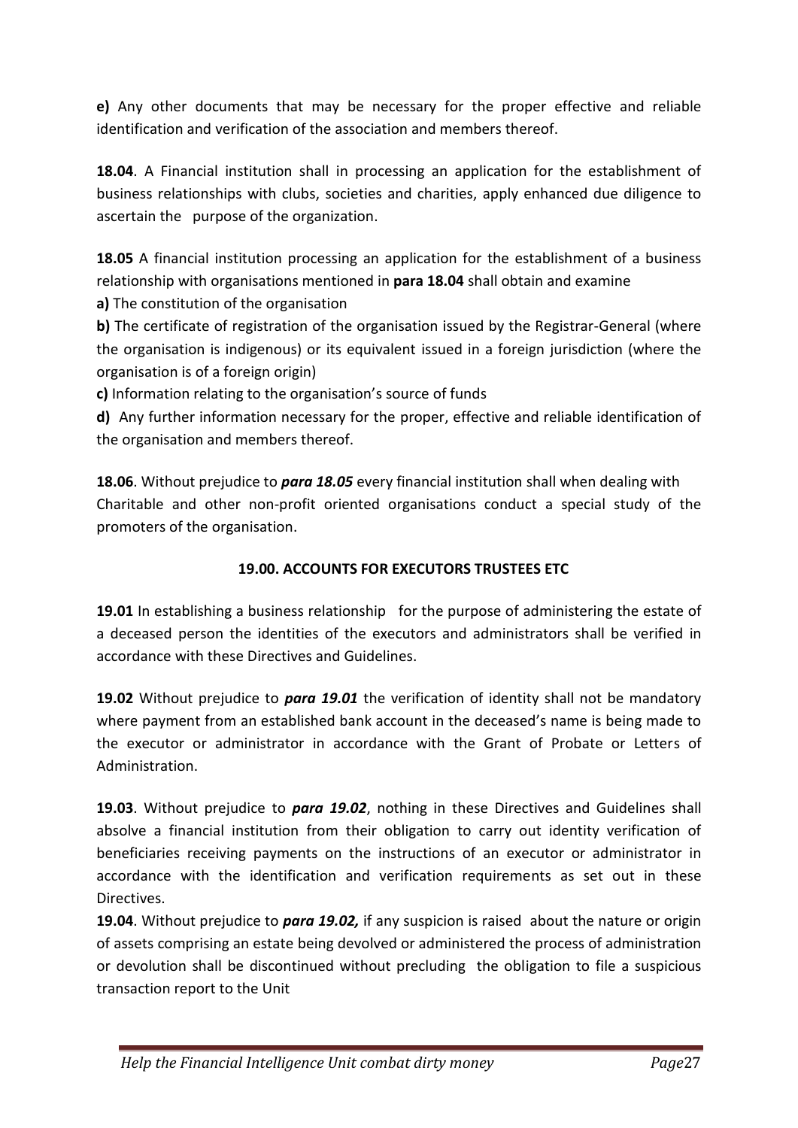**e)** Any other documents that may be necessary for the proper effective and reliable identification and verification of the association and members thereof.

**18.04**. A Financial institution shall in processing an application for the establishment of business relationships with clubs, societies and charities, apply enhanced due diligence to ascertain the purpose of the organization.

**18.05** A financial institution processing an application for the establishment of a business relationship with organisations mentioned in **para 18.04** shall obtain and examine

**a)** The constitution of the organisation

**b)** The certificate of registration of the organisation issued by the Registrar-General (where the organisation is indigenous) or its equivalent issued in a foreign jurisdiction (where the organisation is of a foreign origin)

**c)** Information relating to the organisation's source of funds

**d)** Any further information necessary for the proper, effective and reliable identification of the organisation and members thereof.

**18.06**. Without prejudice to *para 18.05* every financial institution shall when dealing with Charitable and other non-profit oriented organisations conduct a special study of the promoters of the organisation.

## **19.00. ACCOUNTS FOR EXECUTORS TRUSTEES ETC**

**19.01** In establishing a business relationship for the purpose of administering the estate of a deceased person the identities of the executors and administrators shall be verified in accordance with these Directives and Guidelines.

**19.02** Without prejudice to *para 19.01* the verification of identity shall not be mandatory where payment from an established bank account in the deceased's name is being made to the executor or administrator in accordance with the Grant of Probate or Letters of Administration.

**19.03**. Without prejudice to *para 19.02*, nothing in these Directives and Guidelines shall absolve a financial institution from their obligation to carry out identity verification of beneficiaries receiving payments on the instructions of an executor or administrator in accordance with the identification and verification requirements as set out in these Directives.

**19.04**. Without prejudice to *para 19.02,* if any suspicion is raised about the nature or origin of assets comprising an estate being devolved or administered the process of administration or devolution shall be discontinued without precluding the obligation to file a suspicious transaction report to the Unit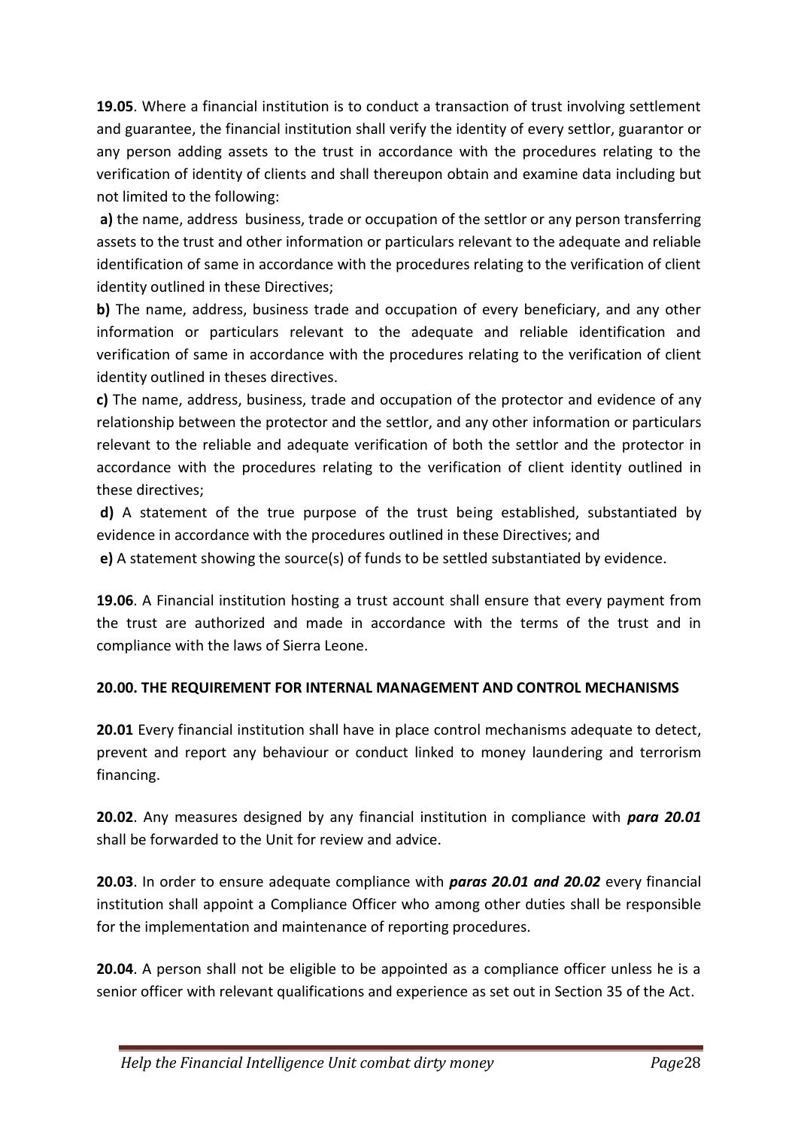**19.05**. Where a financial institution is to conduct a transaction of trust involving settlement and guarantee, the financial institution shall verify the identity of every settlor, guarantor or any person adding assets to the trust in accordance with the procedures relating to the verification of identity of clients and shall thereupon obtain and examine data including but not limited to the following:

**a)** the name, address business, trade or occupation of the settlor or any person transferring assets to the trust and other information or particulars relevant to the adequate and reliable identification of same in accordance with the procedures relating to the verification of client identity outlined in these Directives;

**b)** The name, address, business trade and occupation of every beneficiary, and any other information or particulars relevant to the adequate and reliable identification and verification of same in accordance with the procedures relating to the verification of client identity outlined in theses directives.

**c)** The name, address, business, trade and occupation of the protector and evidence of any relationship between the protector and the settlor, and any other information or particulars relevant to the reliable and adequate verification of both the settlor and the protector in accordance with the procedures relating to the verification of client identity outlined in these directives;

**d)** A statement of the true purpose of the trust being established, substantiated by evidence in accordance with the procedures outlined in these Directives; and

**e)** A statement showing the source(s) of funds to be settled substantiated by evidence.

**19.06**. A Financial institution hosting a trust account shall ensure that every payment from the trust are authorized and made in accordance with the terms of the trust and in compliance with the laws of Sierra Leone.

## **20.00. THE REQUIREMENT FOR INTERNAL MANAGEMENT AND CONTROL MECHANISMS**

**20.01** Every financial institution shall have in place control mechanisms adequate to detect, prevent and report any behaviour or conduct linked to money laundering and terrorism financing.

**20.02**. Any measures designed by any financial institution in compliance with *para 20.01* shall be forwarded to the Unit for review and advice.

**20.03**. In order to ensure adequate compliance with *paras 20.01 and 20.02* every financial institution shall appoint a Compliance Officer who among other duties shall be responsible for the implementation and maintenance of reporting procedures.

**20.04**. A person shall not be eligible to be appointed as a compliance officer unless he is a senior officer with relevant qualifications and experience as set out in Section 35 of the Act.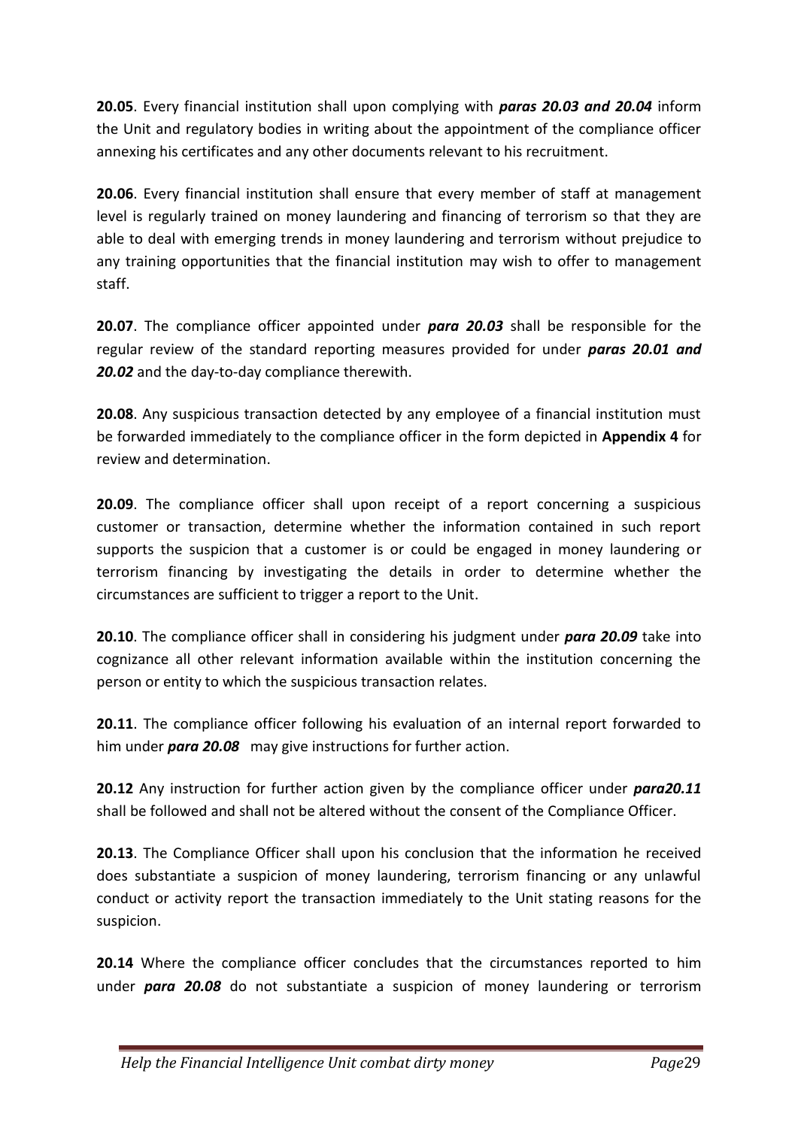**20.05**. Every financial institution shall upon complying with *paras 20.03 and 20.04* inform the Unit and regulatory bodies in writing about the appointment of the compliance officer annexing his certificates and any other documents relevant to his recruitment.

**20.06**. Every financial institution shall ensure that every member of staff at management level is regularly trained on money laundering and financing of terrorism so that they are able to deal with emerging trends in money laundering and terrorism without prejudice to any training opportunities that the financial institution may wish to offer to management staff.

**20.07**. The compliance officer appointed under *para 20.03* shall be responsible for the regular review of the standard reporting measures provided for under *paras 20.01 and 20.02* and the day-to-day compliance therewith.

**20.08**. Any suspicious transaction detected by any employee of a financial institution must be forwarded immediately to the compliance officer in the form depicted in **Appendix 4** for review and determination.

**20.09**. The compliance officer shall upon receipt of a report concerning a suspicious customer or transaction, determine whether the information contained in such report supports the suspicion that a customer is or could be engaged in money laundering or terrorism financing by investigating the details in order to determine whether the circumstances are sufficient to trigger a report to the Unit.

**20.10**. The compliance officer shall in considering his judgment under *para 20.09* take into cognizance all other relevant information available within the institution concerning the person or entity to which the suspicious transaction relates.

**20.11**. The compliance officer following his evaluation of an internal report forwarded to him under *para 20.08* may give instructions for further action.

**20.12** Any instruction for further action given by the compliance officer under *para20.11* shall be followed and shall not be altered without the consent of the Compliance Officer.

**20.13**. The Compliance Officer shall upon his conclusion that the information he received does substantiate a suspicion of money laundering, terrorism financing or any unlawful conduct or activity report the transaction immediately to the Unit stating reasons for the suspicion.

**20.14** Where the compliance officer concludes that the circumstances reported to him under *para 20.08* do not substantiate a suspicion of money laundering or terrorism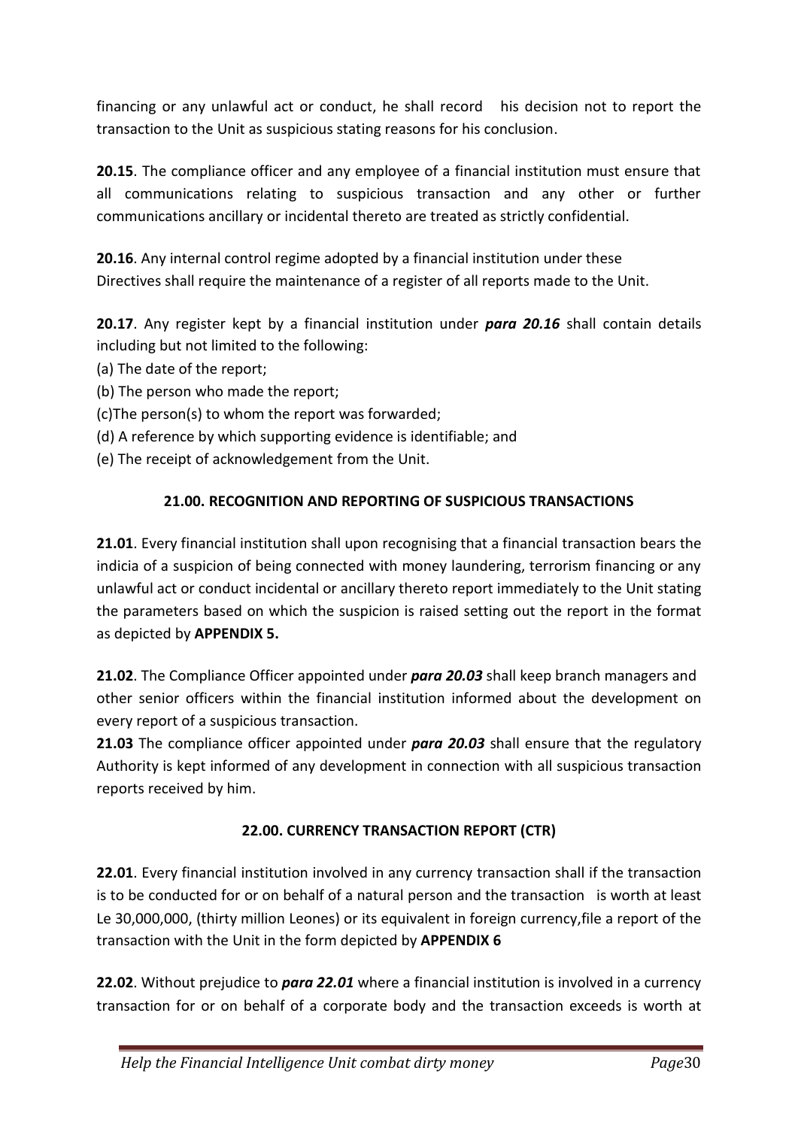financing or any unlawful act or conduct, he shall record his decision not to report the transaction to the Unit as suspicious stating reasons for his conclusion.

**20.15**. The compliance officer and any employee of a financial institution must ensure that all communications relating to suspicious transaction and any other or further communications ancillary or incidental thereto are treated as strictly confidential.

**20.16**. Any internal control regime adopted by a financial institution under these Directives shall require the maintenance of a register of all reports made to the Unit.

**20.17**. Any register kept by a financial institution under *para 20.16* shall contain details including but not limited to the following:

- (a) The date of the report;
- (b) The person who made the report;
- (c)The person(s) to whom the report was forwarded;
- (d) A reference by which supporting evidence is identifiable; and
- (e) The receipt of acknowledgement from the Unit.

### **21.00. RECOGNITION AND REPORTING OF SUSPICIOUS TRANSACTIONS**

**21.01**. Every financial institution shall upon recognising that a financial transaction bears the indicia of a suspicion of being connected with money laundering, terrorism financing or any unlawful act or conduct incidental or ancillary thereto report immediately to the Unit stating the parameters based on which the suspicion is raised setting out the report in the format as depicted by **APPENDIX 5.**

**21.02**. The Compliance Officer appointed under *para 20.03* shall keep branch managers and other senior officers within the financial institution informed about the development on every report of a suspicious transaction.

**21.03** The compliance officer appointed under *para 20.03* shall ensure that the regulatory Authority is kept informed of any development in connection with all suspicious transaction reports received by him.

## **22.00. CURRENCY TRANSACTION REPORT (CTR)**

**22.01**. Every financial institution involved in any currency transaction shall if the transaction is to be conducted for or on behalf of a natural person and the transaction is worth at least Le 30,000,000, (thirty million Leones) or its equivalent in foreign currency,file a report of the transaction with the Unit in the form depicted by **APPENDIX 6**

**22.02**. Without prejudice to *para 22.01* where a financial institution is involved in a currency transaction for or on behalf of a corporate body and the transaction exceeds is worth at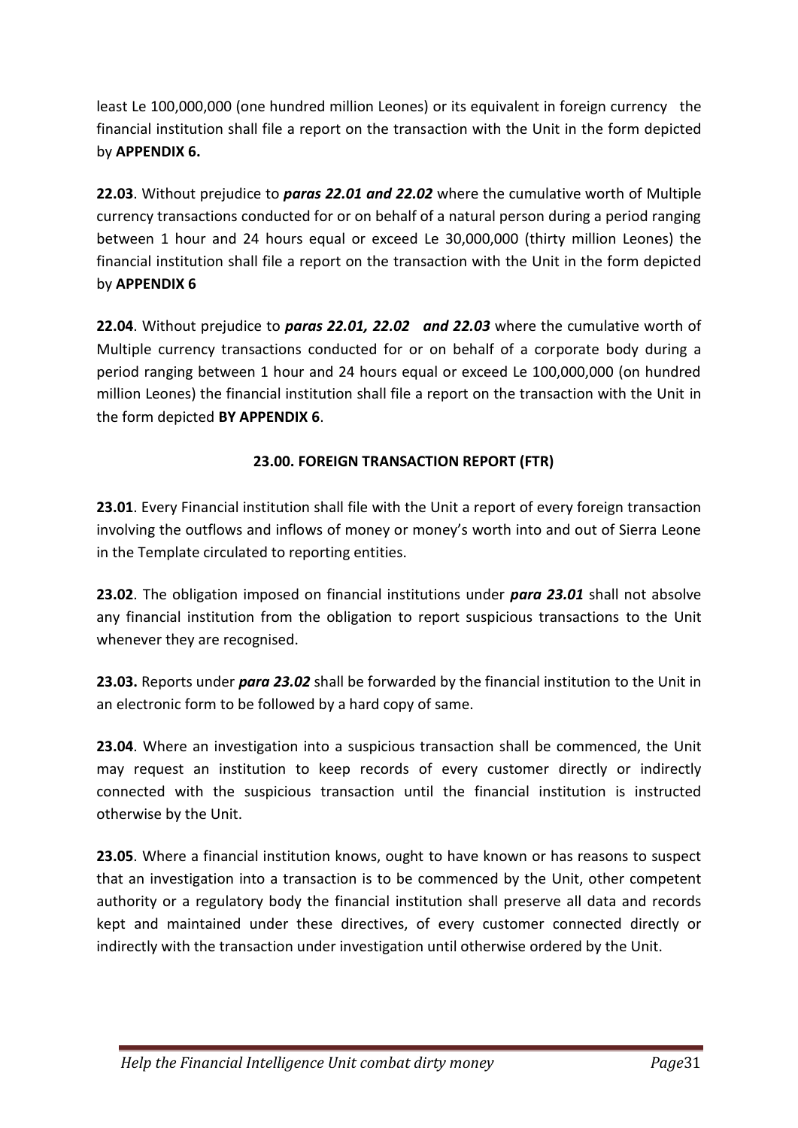least Le 100,000,000 (one hundred million Leones) or its equivalent in foreign currency the financial institution shall file a report on the transaction with the Unit in the form depicted by **APPENDIX 6.**

**22.03**. Without prejudice to *paras 22.01 and 22.02* where the cumulative worth of Multiple currency transactions conducted for or on behalf of a natural person during a period ranging between 1 hour and 24 hours equal or exceed Le 30,000,000 (thirty million Leones) the financial institution shall file a report on the transaction with the Unit in the form depicted by **APPENDIX 6**

**22.04**. Without prejudice to *paras 22.01, 22.02 and 22.03* where the cumulative worth of Multiple currency transactions conducted for or on behalf of a corporate body during a period ranging between 1 hour and 24 hours equal or exceed Le 100,000,000 (on hundred million Leones) the financial institution shall file a report on the transaction with the Unit in the form depicted **BY APPENDIX 6**.

## **23.00. FOREIGN TRANSACTION REPORT (FTR)**

**23.01**. Every Financial institution shall file with the Unit a report of every foreign transaction involving the outflows and inflows of money or money's worth into and out of Sierra Leone in the Template circulated to reporting entities.

**23.02**. The obligation imposed on financial institutions under *para 23.01* shall not absolve any financial institution from the obligation to report suspicious transactions to the Unit whenever they are recognised.

**23.03.** Reports under *para 23.02* shall be forwarded by the financial institution to the Unit in an electronic form to be followed by a hard copy of same.

**23.04**. Where an investigation into a suspicious transaction shall be commenced, the Unit may request an institution to keep records of every customer directly or indirectly connected with the suspicious transaction until the financial institution is instructed otherwise by the Unit.

**23.05**. Where a financial institution knows, ought to have known or has reasons to suspect that an investigation into a transaction is to be commenced by the Unit, other competent authority or a regulatory body the financial institution shall preserve all data and records kept and maintained under these directives, of every customer connected directly or indirectly with the transaction under investigation until otherwise ordered by the Unit.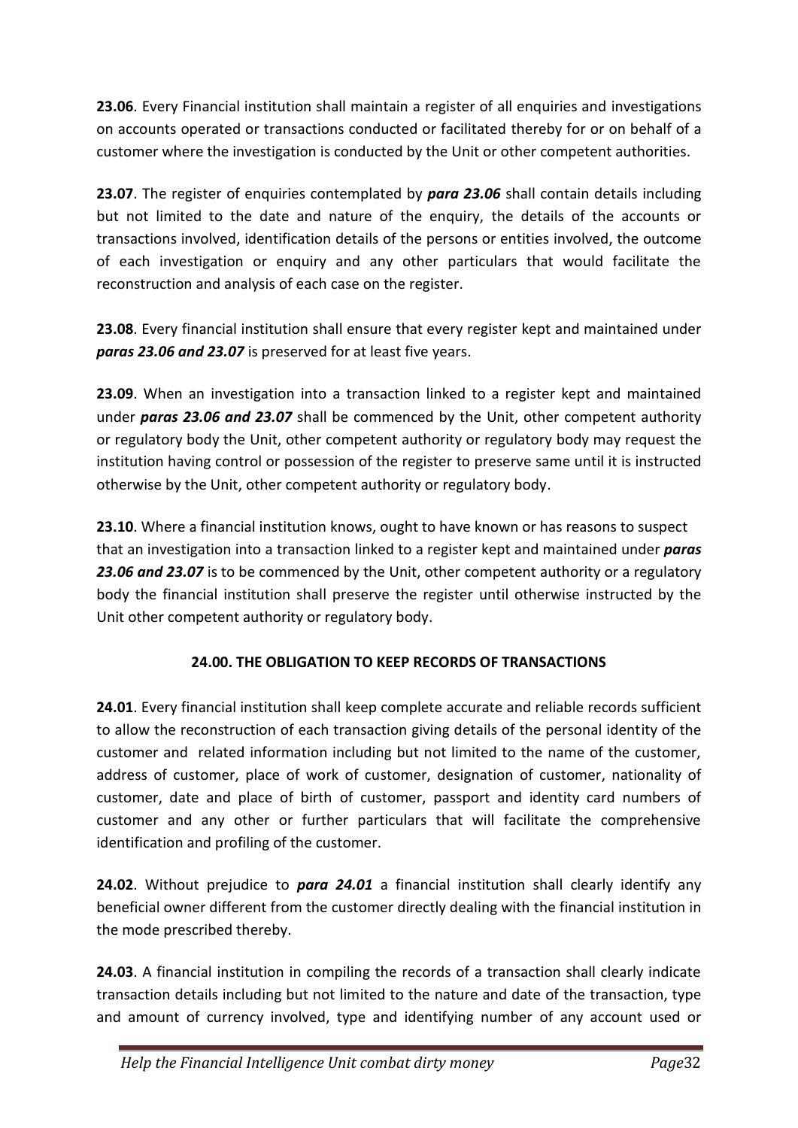**23.06**. Every Financial institution shall maintain a register of all enquiries and investigations on accounts operated or transactions conducted or facilitated thereby for or on behalf of a customer where the investigation is conducted by the Unit or other competent authorities.

**23.07**. The register of enquiries contemplated by *para 23.06* shall contain details including but not limited to the date and nature of the enquiry, the details of the accounts or transactions involved, identification details of the persons or entities involved, the outcome of each investigation or enquiry and any other particulars that would facilitate the reconstruction and analysis of each case on the register.

**23.08**. Every financial institution shall ensure that every register kept and maintained under *paras 23.06 and 23.07* is preserved for at least five years.

**23.09**. When an investigation into a transaction linked to a register kept and maintained under *paras 23.06 and 23.07* shall be commenced by the Unit, other competent authority or regulatory body the Unit, other competent authority or regulatory body may request the institution having control or possession of the register to preserve same until it is instructed otherwise by the Unit, other competent authority or regulatory body.

**23.10**. Where a financial institution knows, ought to have known or has reasons to suspect that an investigation into a transaction linked to a register kept and maintained under *paras* 23.06 and 23.07 is to be commenced by the Unit, other competent authority or a regulatory body the financial institution shall preserve the register until otherwise instructed by the Unit other competent authority or regulatory body.

## **24.00. THE OBLIGATION TO KEEP RECORDS OF TRANSACTIONS**

**24.01**. Every financial institution shall keep complete accurate and reliable records sufficient to allow the reconstruction of each transaction giving details of the personal identity of the customer and related information including but not limited to the name of the customer, address of customer, place of work of customer, designation of customer, nationality of customer, date and place of birth of customer, passport and identity card numbers of customer and any other or further particulars that will facilitate the comprehensive identification and profiling of the customer.

**24.02**. Without prejudice to *para 24.01* a financial institution shall clearly identify any beneficial owner different from the customer directly dealing with the financial institution in the mode prescribed thereby.

**24.03**. A financial institution in compiling the records of a transaction shall clearly indicate transaction details including but not limited to the nature and date of the transaction, type and amount of currency involved, type and identifying number of any account used or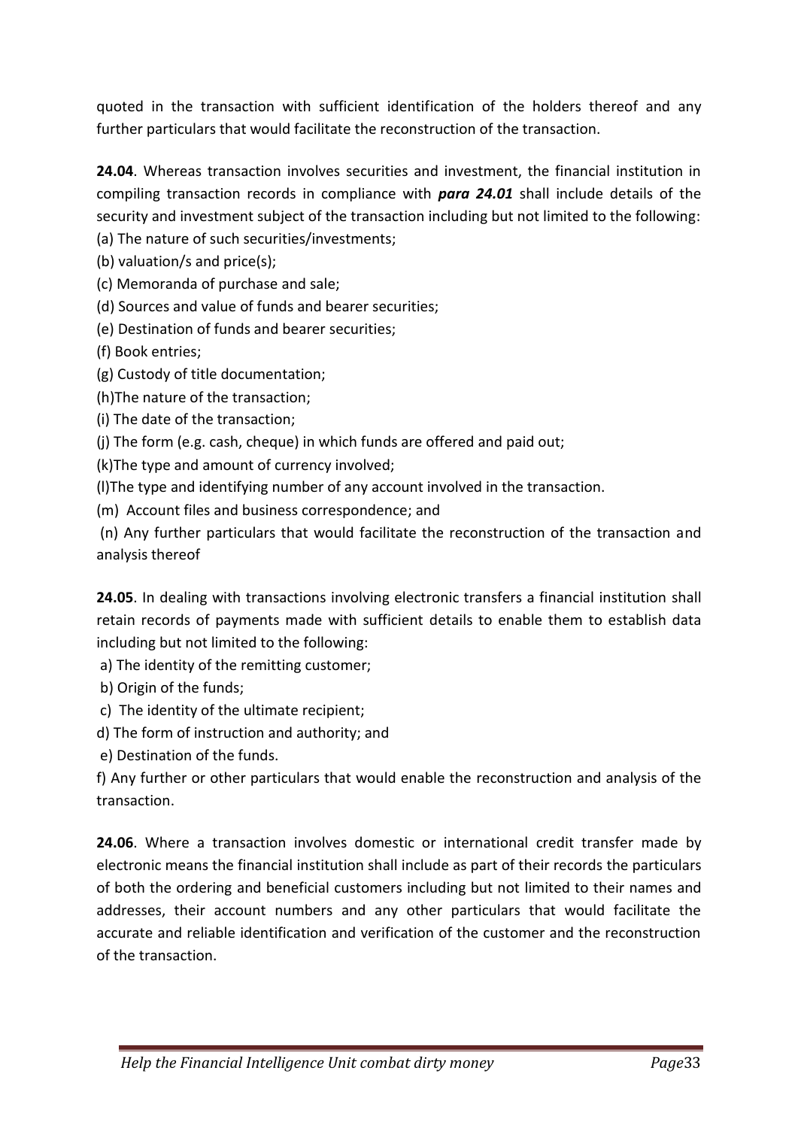quoted in the transaction with sufficient identification of the holders thereof and any further particulars that would facilitate the reconstruction of the transaction.

**24.04**. Whereas transaction involves securities and investment, the financial institution in compiling transaction records in compliance with *para 24.01* shall include details of the security and investment subject of the transaction including but not limited to the following: (a) The nature of such securities/investments;

(b) valuation/s and price(s);

(c) Memoranda of purchase and sale;

(d) Sources and value of funds and bearer securities;

(e) Destination of funds and bearer securities;

(f) Book entries;

(g) Custody of title documentation;

(h)The nature of the transaction;

(i) The date of the transaction;

(j) The form (e.g. cash, cheque) in which funds are offered and paid out;

(k)The type and amount of currency involved;

(l)The type and identifying number of any account involved in the transaction.

(m) Account files and business correspondence; and

(n) Any further particulars that would facilitate the reconstruction of the transaction and analysis thereof

**24.05**. In dealing with transactions involving electronic transfers a financial institution shall retain records of payments made with sufficient details to enable them to establish data including but not limited to the following:

a) The identity of the remitting customer;

b) Origin of the funds;

c) The identity of the ultimate recipient;

d) The form of instruction and authority; and

e) Destination of the funds.

f) Any further or other particulars that would enable the reconstruction and analysis of the transaction.

**24.06**. Where a transaction involves domestic or international credit transfer made by electronic means the financial institution shall include as part of their records the particulars of both the ordering and beneficial customers including but not limited to their names and addresses, their account numbers and any other particulars that would facilitate the accurate and reliable identification and verification of the customer and the reconstruction of the transaction.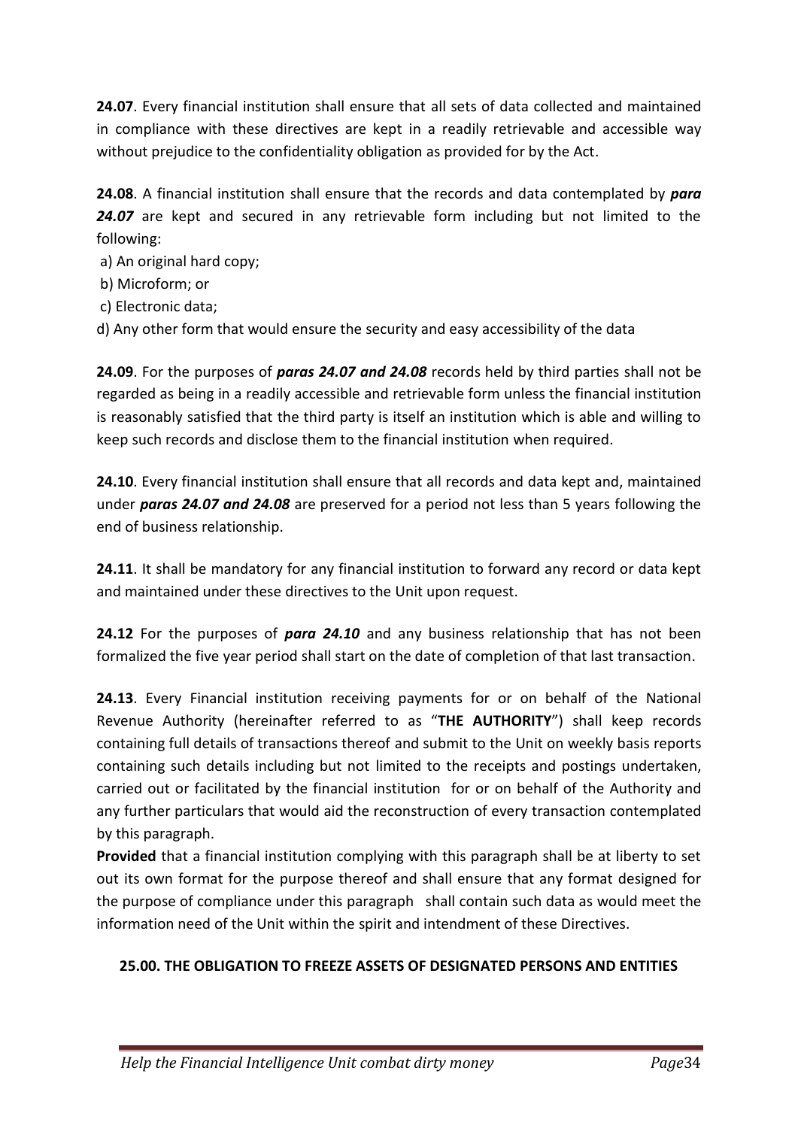**24.07**. Every financial institution shall ensure that all sets of data collected and maintained in compliance with these directives are kept in a readily retrievable and accessible way without prejudice to the confidentiality obligation as provided for by the Act.

**24.08**. A financial institution shall ensure that the records and data contemplated by *para 24.07* are kept and secured in any retrievable form including but not limited to the following:

- a) An original hard copy;
- b) Microform; or
- c) Electronic data;
- d) Any other form that would ensure the security and easy accessibility of the data

**24.09**. For the purposes of *paras 24.07 and 24.08* records held by third parties shall not be regarded as being in a readily accessible and retrievable form unless the financial institution is reasonably satisfied that the third party is itself an institution which is able and willing to keep such records and disclose them to the financial institution when required.

**24.10**. Every financial institution shall ensure that all records and data kept and, maintained under *paras 24.07 and 24.08* are preserved for a period not less than 5 years following the end of business relationship.

**24.11**. It shall be mandatory for any financial institution to forward any record or data kept and maintained under these directives to the Unit upon request.

**24.12** For the purposes of *para 24.10* and any business relationship that has not been formalized the five year period shall start on the date of completion of that last transaction.

**24.13**. Every Financial institution receiving payments for or on behalf of the National Revenue Authority (hereinafter referred to as "**THE AUTHORITY**") shall keep records containing full details of transactions thereof and submit to the Unit on weekly basis reports containing such details including but not limited to the receipts and postings undertaken, carried out or facilitated by the financial institution for or on behalf of the Authority and any further particulars that would aid the reconstruction of every transaction contemplated by this paragraph.

**Provided** that a financial institution complying with this paragraph shall be at liberty to set out its own format for the purpose thereof and shall ensure that any format designed for the purpose of compliance under this paragraph shall contain such data as would meet the information need of the Unit within the spirit and intendment of these Directives.

### **25.00. THE OBLIGATION TO FREEZE ASSETS OF DESIGNATED PERSONS AND ENTITIES**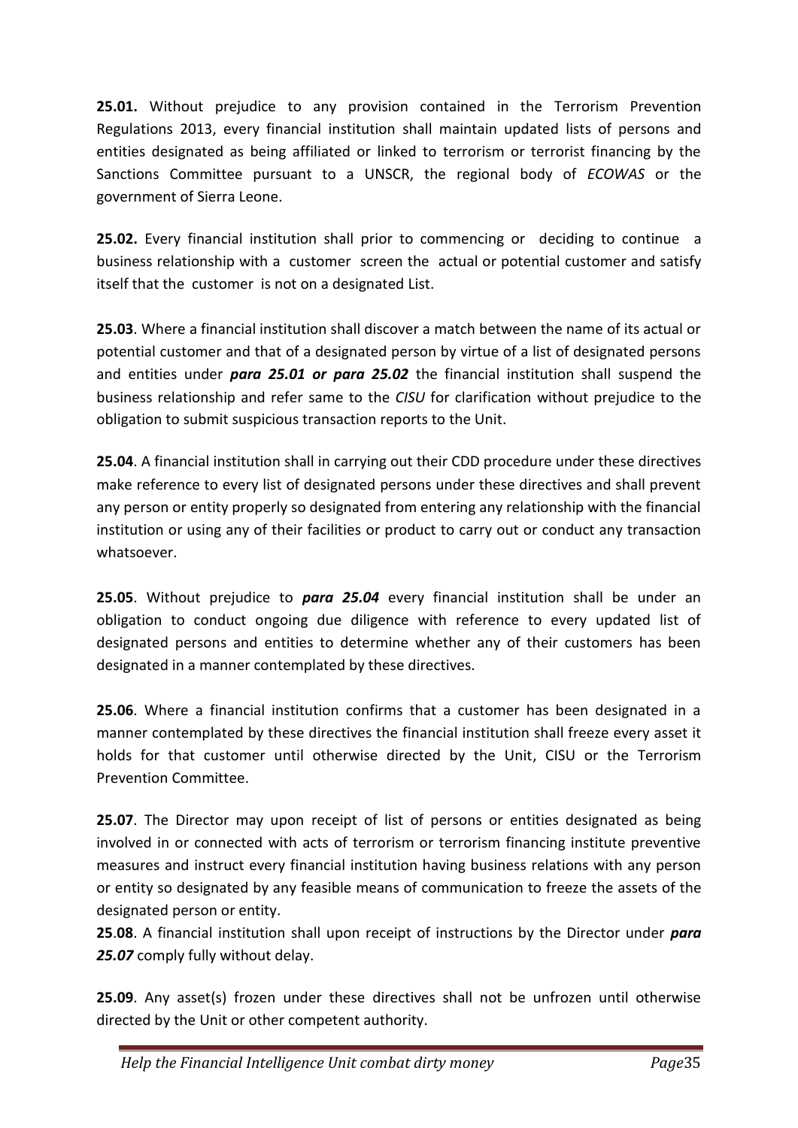**25.01.** Without prejudice to any provision contained in the Terrorism Prevention Regulations 2013, every financial institution shall maintain updated lists of persons and entities designated as being affiliated or linked to terrorism or terrorist financing by the Sanctions Committee pursuant to a UNSCR, the regional body of *ECOWAS* or the government of Sierra Leone.

**25.02.** Every financial institution shall prior to commencing or deciding to continue a business relationship with a customer screen the actual or potential customer and satisfy itself that the customer is not on a designated List.

**25.03**. Where a financial institution shall discover a match between the name of its actual or potential customer and that of a designated person by virtue of a list of designated persons and entities under *para 25.01 or para 25.02* the financial institution shall suspend the business relationship and refer same to the *CISU* for clarification without prejudice to the obligation to submit suspicious transaction reports to the Unit.

**25.04**. A financial institution shall in carrying out their CDD procedure under these directives make reference to every list of designated persons under these directives and shall prevent any person or entity properly so designated from entering any relationship with the financial institution or using any of their facilities or product to carry out or conduct any transaction whatsoever.

**25.05**. Without prejudice to *para 25.04* every financial institution shall be under an obligation to conduct ongoing due diligence with reference to every updated list of designated persons and entities to determine whether any of their customers has been designated in a manner contemplated by these directives.

**25.06**. Where a financial institution confirms that a customer has been designated in a manner contemplated by these directives the financial institution shall freeze every asset it holds for that customer until otherwise directed by the Unit, CISU or the Terrorism Prevention Committee.

**25.07**. The Director may upon receipt of list of persons or entities designated as being involved in or connected with acts of terrorism or terrorism financing institute preventive measures and instruct every financial institution having business relations with any person or entity so designated by any feasible means of communication to freeze the assets of the designated person or entity.

**25**.**08**. A financial institution shall upon receipt of instructions by the Director under *para 25.07* comply fully without delay.

**25.09**. Any asset(s) frozen under these directives shall not be unfrozen until otherwise directed by the Unit or other competent authority.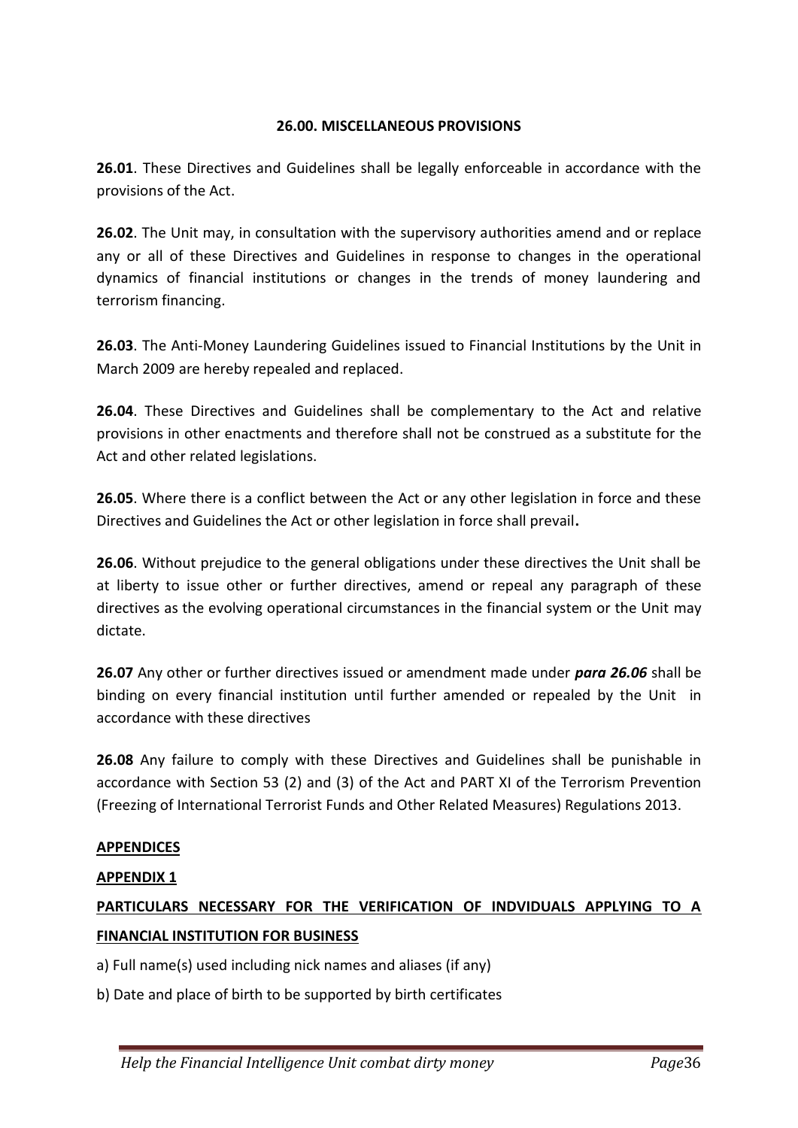#### **26.00. MISCELLANEOUS PROVISIONS**

**26.01**. These Directives and Guidelines shall be legally enforceable in accordance with the provisions of the Act.

**26.02**. The Unit may, in consultation with the supervisory authorities amend and or replace any or all of these Directives and Guidelines in response to changes in the operational dynamics of financial institutions or changes in the trends of money laundering and terrorism financing.

**26.03**. The Anti-Money Laundering Guidelines issued to Financial Institutions by the Unit in March 2009 are hereby repealed and replaced.

**26.04**. These Directives and Guidelines shall be complementary to the Act and relative provisions in other enactments and therefore shall not be construed as a substitute for the Act and other related legislations.

**26.05**. Where there is a conflict between the Act or any other legislation in force and these Directives and Guidelines the Act or other legislation in force shall prevail**.**

**26.06**. Without prejudice to the general obligations under these directives the Unit shall be at liberty to issue other or further directives, amend or repeal any paragraph of these directives as the evolving operational circumstances in the financial system or the Unit may dictate.

**26.07** Any other or further directives issued or amendment made under *para 26.06* shall be binding on every financial institution until further amended or repealed by the Unit in accordance with these directives

**26.08** Any failure to comply with these Directives and Guidelines shall be punishable in accordance with Section 53 (2) and (3) of the Act and PART XI of the Terrorism Prevention (Freezing of International Terrorist Funds and Other Related Measures) Regulations 2013.

### **APPENDICES**

### **APPENDIX 1**

# **PARTICULARS NECESSARY FOR THE VERIFICATION OF INDVIDUALS APPLYING TO A FINANCIAL INSTITUTION FOR BUSINESS**

a) Full name(s) used including nick names and aliases (if any)

b) Date and place of birth to be supported by birth certificates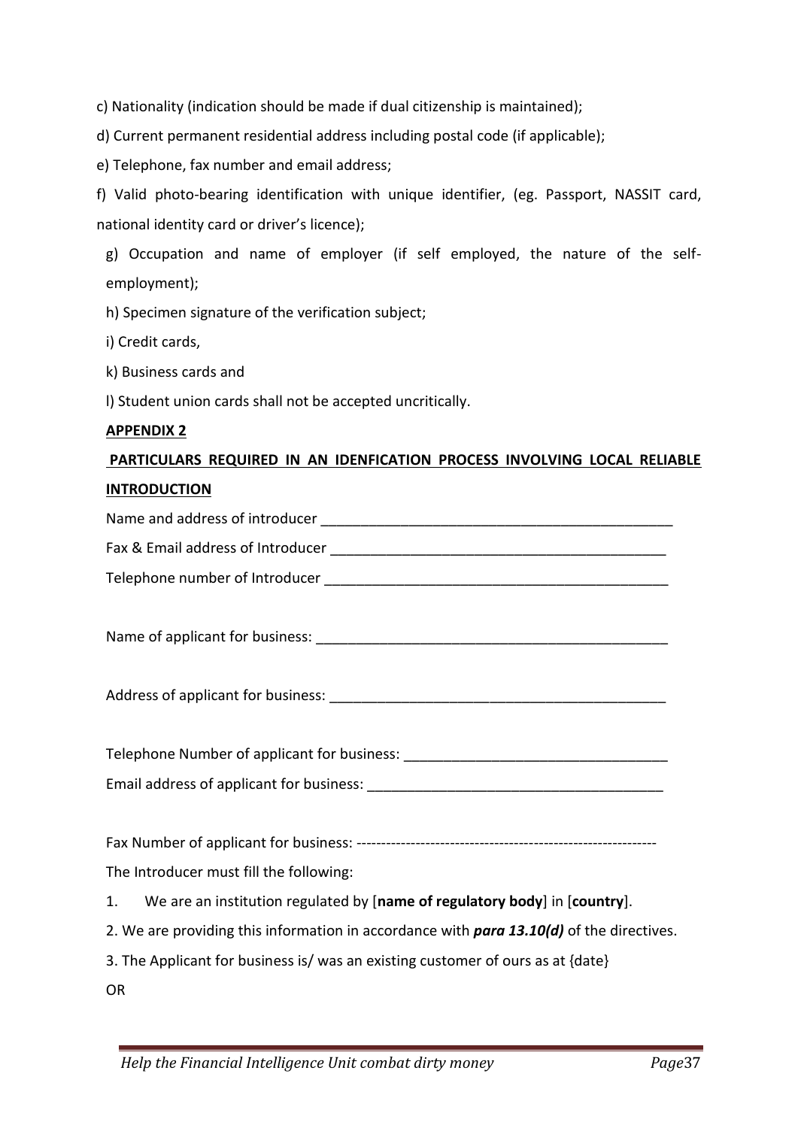c) Nationality (indication should be made if dual citizenship is maintained);

d) Current permanent residential address including postal code (if applicable);

e) Telephone, fax number and email address;

f) Valid photo-bearing identification with unique identifier, (eg. Passport, NASSIT card, national identity card or driver's licence);

g) Occupation and name of employer (if self employed, the nature of the selfemployment);

h) Specimen signature of the verification subject;

i) Credit cards,

k) Business cards and

l) Student union cards shall not be accepted uncritically.

#### **APPENDIX 2**

# **PARTICULARS REQUIRED IN AN IDENFICATION PROCESS INVOLVING LOCAL RELIABLE INTRODUCTION**

Name and address of introducer **Name** and address of introducer Fax & Email address of Introducer

Telephone number of Introducer

Name of applicant for business: \_\_\_\_\_\_\_\_\_\_\_\_\_\_\_\_\_\_\_\_\_\_\_\_\_\_\_\_\_\_\_\_\_\_\_\_\_\_\_\_\_\_\_\_

Address of applicant for business: **Example 2018** 

Telephone Number of applicant for business: \_\_\_\_\_\_\_\_\_\_\_\_\_\_\_\_\_\_\_\_\_\_\_\_\_\_\_\_\_\_\_\_\_ Email address of applicant for business:

Fax Number of applicant for business: -------------------------------------------------------------

The Introducer must fill the following:

- 1. We are an institution regulated by [**name of regulatory body**] in [**country**].
- 2. We are providing this information in accordance with *para 13.10(d)* of the directives.

3. The Applicant for business is/ was an existing customer of ours as at {date}

OR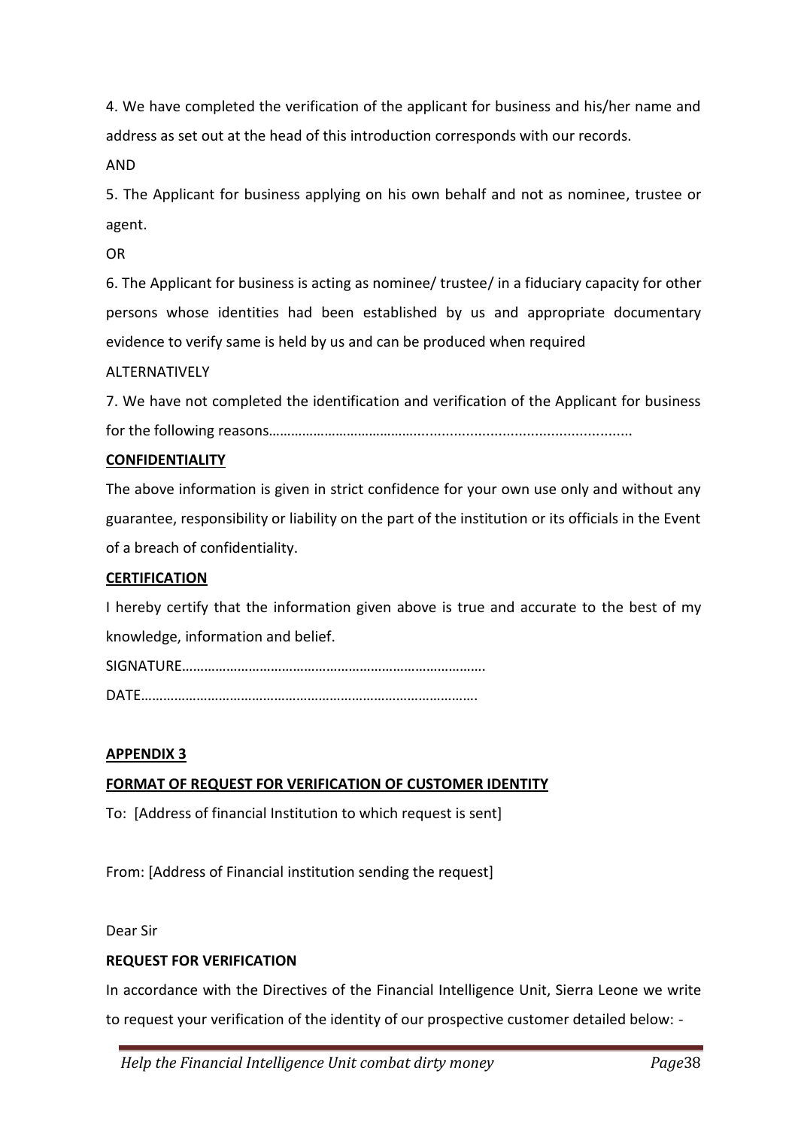4. We have completed the verification of the applicant for business and his/her name and address as set out at the head of this introduction corresponds with our records.

AND

5. The Applicant for business applying on his own behalf and not as nominee, trustee or agent.

OR

6. The Applicant for business is acting as nominee/ trustee/ in a fiduciary capacity for other persons whose identities had been established by us and appropriate documentary evidence to verify same is held by us and can be produced when required

ALTERNATIVELY

7. We have not completed the identification and verification of the Applicant for business for the following reasons…………………………………......................................................

#### **CONFIDENTIALITY**

The above information is given in strict confidence for your own use only and without any guarantee, responsibility or liability on the part of the institution or its officials in the Event of a breach of confidentiality.

#### **CERTIFICATION**

I hereby certify that the information given above is true and accurate to the best of my knowledge, information and belief.

SIGNATURE………………………………………………………………………. DATE……………………………………………………………………………….

#### **APPENDIX 3**

#### **FORMAT OF REQUEST FOR VERIFICATION OF CUSTOMER IDENTITY**

To: [Address of financial Institution to which request is sent]

From: [Address of Financial institution sending the request]

Dear Sir

#### **REQUEST FOR VERIFICATION**

In accordance with the Directives of the Financial Intelligence Unit, Sierra Leone we write to request your verification of the identity of our prospective customer detailed below: -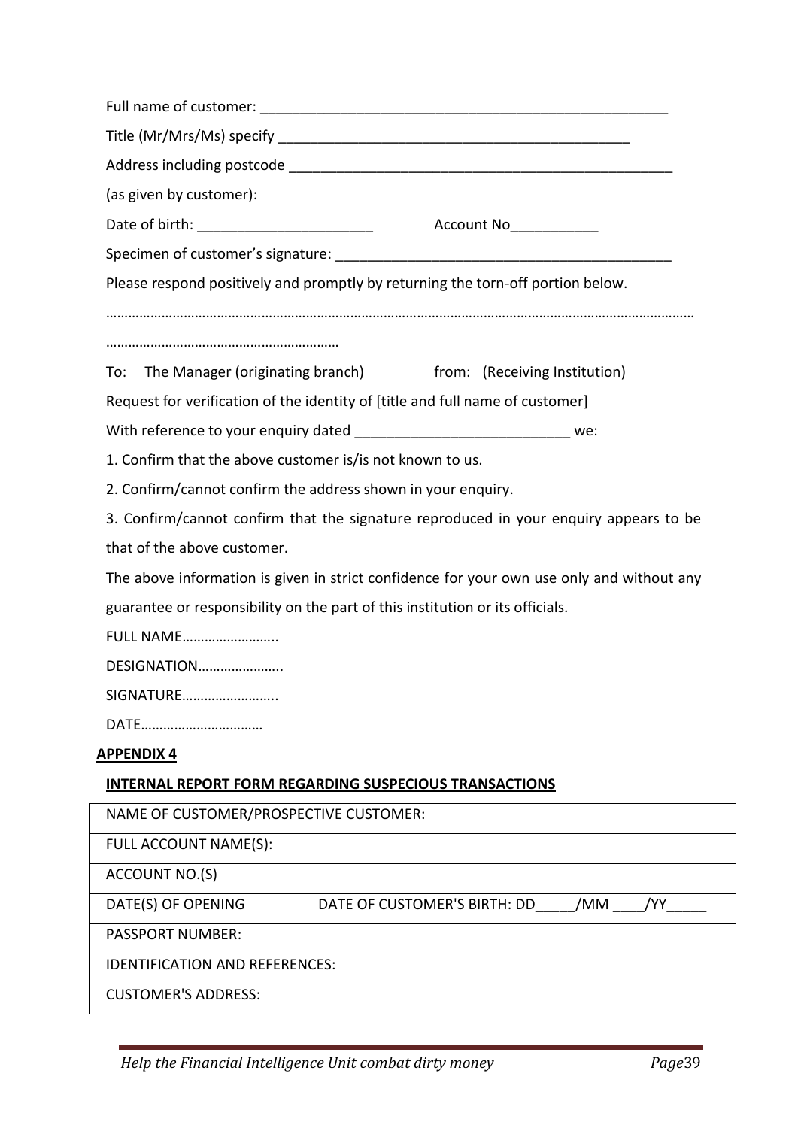| (as given by customer):                                          |                                                                                           |  |  |  |
|------------------------------------------------------------------|-------------------------------------------------------------------------------------------|--|--|--|
|                                                                  |                                                                                           |  |  |  |
|                                                                  |                                                                                           |  |  |  |
|                                                                  | Please respond positively and promptly by returning the torn-off portion below.           |  |  |  |
|                                                                  |                                                                                           |  |  |  |
|                                                                  |                                                                                           |  |  |  |
| To:                                                              | The Manager (originating branch) from: (Receiving Institution)                            |  |  |  |
|                                                                  | Request for verification of the identity of [title and full name of customer]             |  |  |  |
|                                                                  | With reference to your enquiry dated _______________________________ we:                  |  |  |  |
| 1. Confirm that the above customer is/is not known to us.        |                                                                                           |  |  |  |
|                                                                  | 2. Confirm/cannot confirm the address shown in your enquiry.                              |  |  |  |
|                                                                  | 3. Confirm/cannot confirm that the signature reproduced in your enquiry appears to be     |  |  |  |
| that of the above customer.                                      |                                                                                           |  |  |  |
|                                                                  | The above information is given in strict confidence for your own use only and without any |  |  |  |
|                                                                  | guarantee or responsibility on the part of this institution or its officials.             |  |  |  |
| <b>FULL NAME</b>                                                 |                                                                                           |  |  |  |
| DESIGNATION                                                      |                                                                                           |  |  |  |
| SIGNATURE                                                        |                                                                                           |  |  |  |
| DATE                                                             |                                                                                           |  |  |  |
| <u>APPENDIX 4</u>                                                |                                                                                           |  |  |  |
|                                                                  | <b>INTERNAL REPORT FORM REGARDING SUSPECIOUS TRANSACTIONS</b>                             |  |  |  |
| NAME OF CUSTOMER/PROSPECTIVE CUSTOMER:                           |                                                                                           |  |  |  |
| FULL ACCOUNT NAME(S):                                            |                                                                                           |  |  |  |
| ACCOUNT NO.(S)                                                   |                                                                                           |  |  |  |
| DATE OF CUSTOMER'S BIRTH: DD<br>/YY<br>DATE(S) OF OPENING<br>/MM |                                                                                           |  |  |  |
| <b>PASSPORT NUMBER:</b>                                          |                                                                                           |  |  |  |
| <b>IDENTIFICATION AND REFERENCES:</b>                            |                                                                                           |  |  |  |
| <b>CUSTOMER'S ADDRESS:</b>                                       |                                                                                           |  |  |  |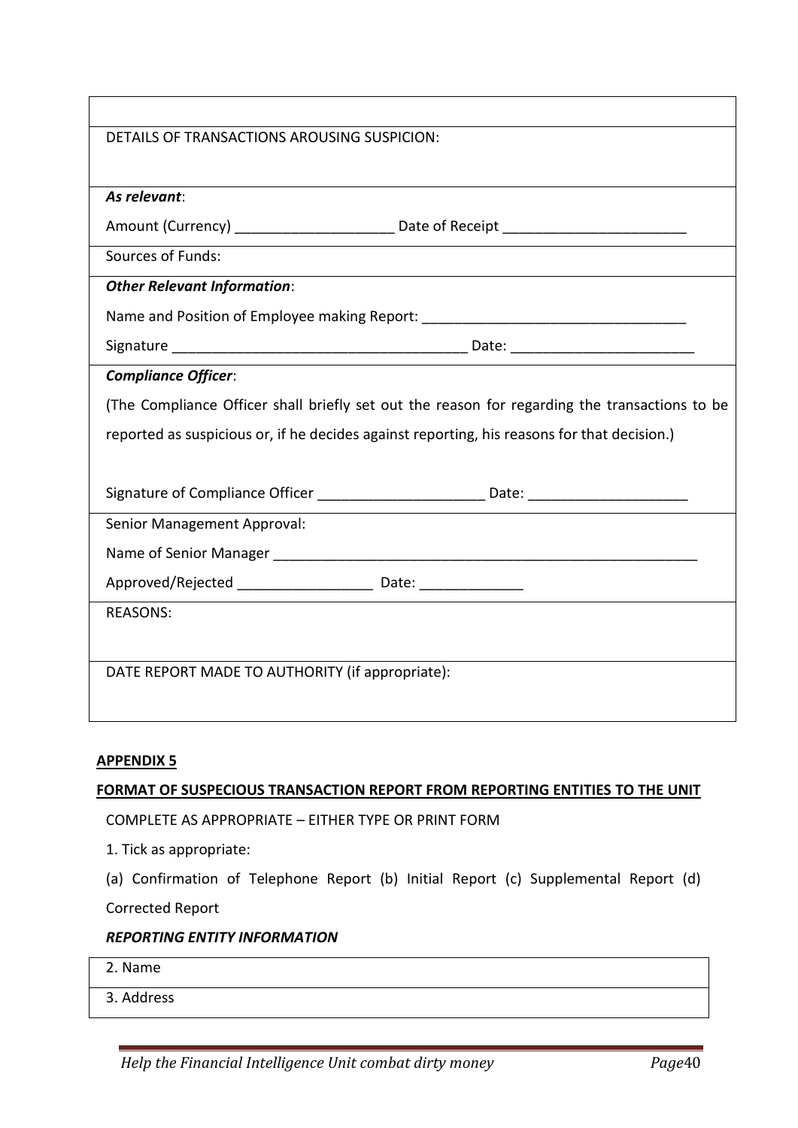| DETAILS OF TRANSACTIONS AROUSING SUSPICION:                                                          |  |  |  |
|------------------------------------------------------------------------------------------------------|--|--|--|
|                                                                                                      |  |  |  |
| As relevant:                                                                                         |  |  |  |
| Amount (Currency) _______________________________Date of Receipt ___________________________________ |  |  |  |
| Sources of Funds:                                                                                    |  |  |  |
| <b>Other Relevant Information:</b>                                                                   |  |  |  |
| Name and Position of Employee making Report: ___________________________________                     |  |  |  |
|                                                                                                      |  |  |  |
| <b>Compliance Officer:</b>                                                                           |  |  |  |
| (The Compliance Officer shall briefly set out the reason for regarding the transactions to be        |  |  |  |
| reported as suspicious or, if he decides against reporting, his reasons for that decision.)          |  |  |  |
|                                                                                                      |  |  |  |
| Signature of Compliance Officer ______________________________ Date: ______________________________  |  |  |  |
| Senior Management Approval:                                                                          |  |  |  |
|                                                                                                      |  |  |  |
| Approved/Rejected __________________________ Date: _____________________________                     |  |  |  |
| <b>REASONS:</b>                                                                                      |  |  |  |
|                                                                                                      |  |  |  |
| DATE REPORT MADE TO AUTHORITY (if appropriate):                                                      |  |  |  |
|                                                                                                      |  |  |  |

#### **APPENDIX 5**

#### **FORMAT OF SUSPECIOUS TRANSACTION REPORT FROM REPORTING ENTITIES TO THE UNIT**

COMPLETE AS APPROPRIATE – EITHER TYPE OR PRINT FORM

- 1. Tick as appropriate:
- (a) Confirmation of Telephone Report (b) Initial Report (c) Supplemental Report (d)

Corrected Report

#### *REPORTING ENTITY INFORMATION*

2. Name

3. Address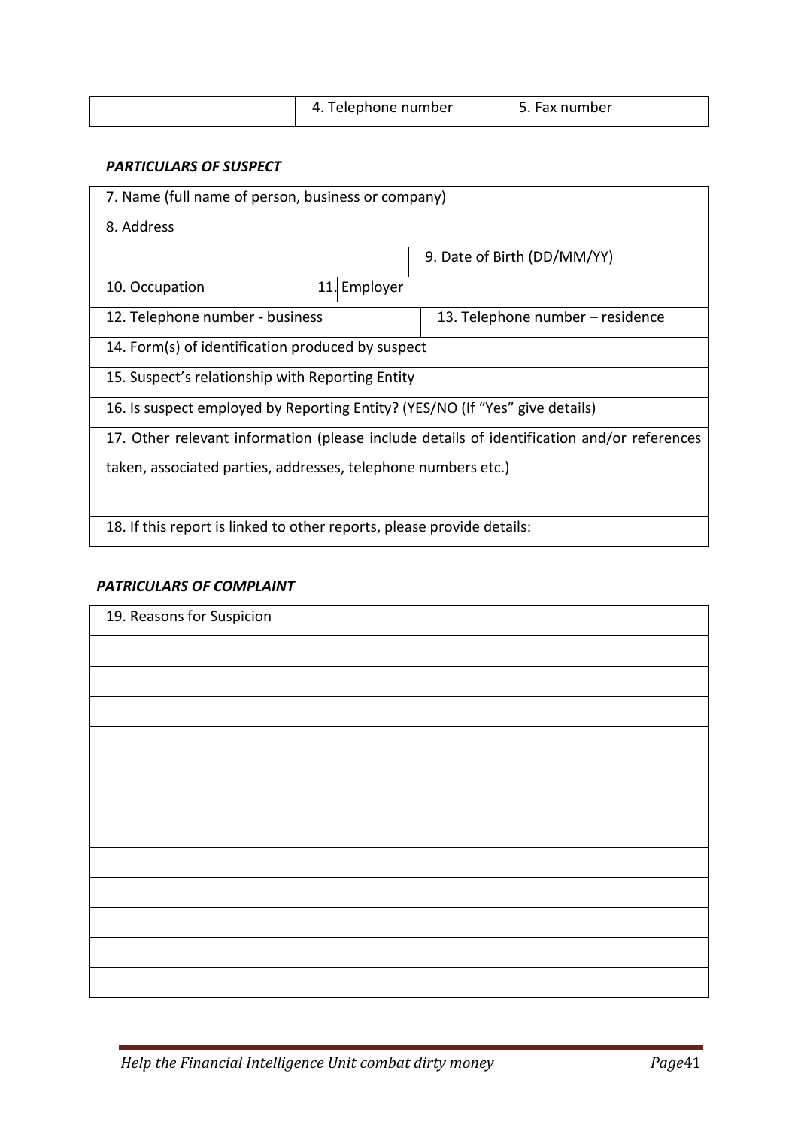| 4. Telephone number | Fax number |
|---------------------|------------|

#### *PARTICULARS OF SUSPECT*

| 7. Name (full name of person, business or company)                                         |                                  |  |  |
|--------------------------------------------------------------------------------------------|----------------------------------|--|--|
| 8. Address                                                                                 |                                  |  |  |
|                                                                                            | 9. Date of Birth (DD/MM/YY)      |  |  |
| 10. Occupation<br>11. Employer                                                             |                                  |  |  |
| 12. Telephone number - business                                                            | 13. Telephone number – residence |  |  |
| 14. Form(s) of identification produced by suspect                                          |                                  |  |  |
| 15. Suspect's relationship with Reporting Entity                                           |                                  |  |  |
| 16. Is suspect employed by Reporting Entity? (YES/NO (If "Yes" give details)               |                                  |  |  |
| 17. Other relevant information (please include details of identification and/or references |                                  |  |  |
| taken, associated parties, addresses, telephone numbers etc.)                              |                                  |  |  |
|                                                                                            |                                  |  |  |
| 18. If this report is linked to other reports, please provide details:                     |                                  |  |  |

#### *PATRICULARS OF COMPLAINT*

| 19. Reasons for Suspicion |  |
|---------------------------|--|
|                           |  |
|                           |  |
|                           |  |
|                           |  |
|                           |  |
|                           |  |
|                           |  |
|                           |  |
|                           |  |
|                           |  |
|                           |  |
|                           |  |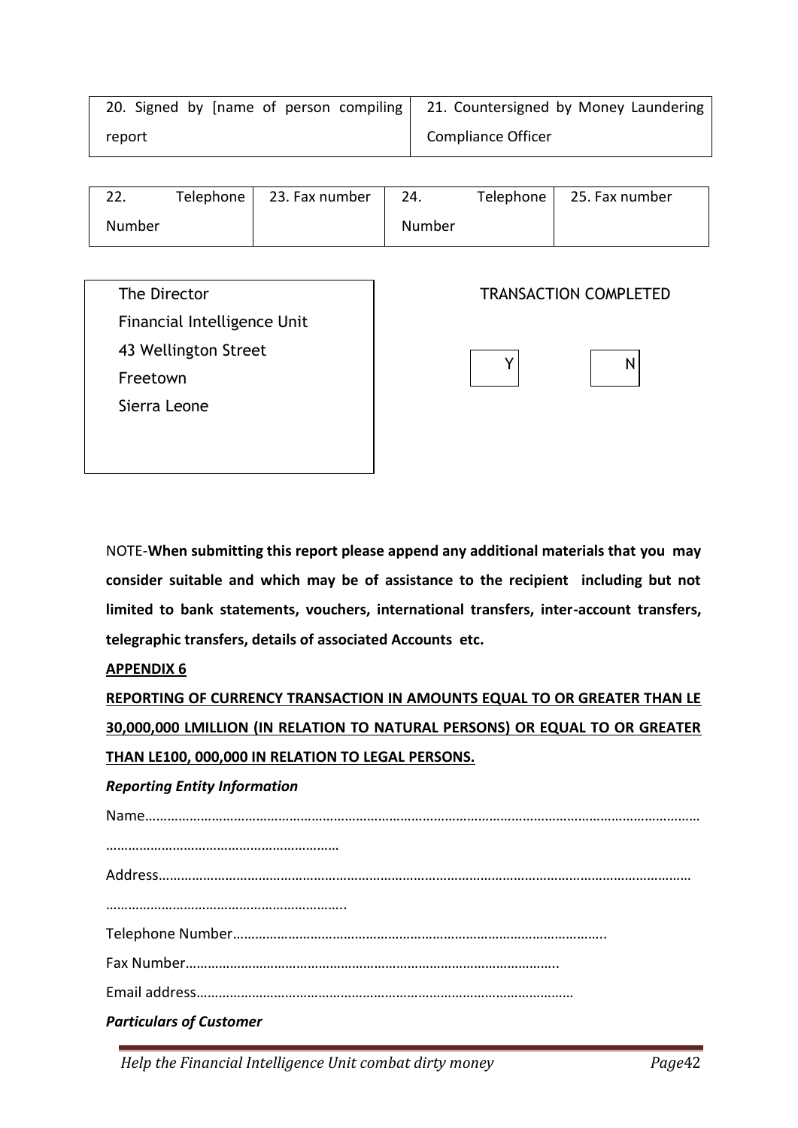| 20. Signed by [name of person compiling   21. Countersigned by Money Laundering |                           |
|---------------------------------------------------------------------------------|---------------------------|
| report                                                                          | <b>Compliance Officer</b> |

| ົາ     | Telephone | 23. Fax number | 24.    | Telephone | 25. Fax number |
|--------|-----------|----------------|--------|-----------|----------------|
| Number |           |                | Number |           |                |

The Director Financial Intelligence Unit 43 Wellington Street Freetown Sierra Leone

### TRANSACTION COMPLETED



NOTE-**When submitting this report please append any additional materials that you may consider suitable and which may be of assistance to the recipient including but not limited to bank statements, vouchers, international transfers, inter-account transfers, telegraphic transfers, details of associated Accounts etc.**

**APPENDIX 6**

**REPORTING OF CURRENCY TRANSACTION IN AMOUNTS EQUAL TO OR GREATER THAN LE 30,000,000 LMILLION (IN RELATION TO NATURAL PERSONS) OR EQUAL TO OR GREATER THAN LE100, 000,000 IN RELATION TO LEGAL PERSONS.**

*Reporting Entity Information*

 $Name$ ……………………………………………………… Address……………………………………………………………………………………………………………………………… ………………………………………………………..

Telephone Number………………………………………………………………………………………..

Email address…………………………………………………………………………………………

*Particulars of Customer*

*Help the Financial Intelligence Unit combat dirty money Page*42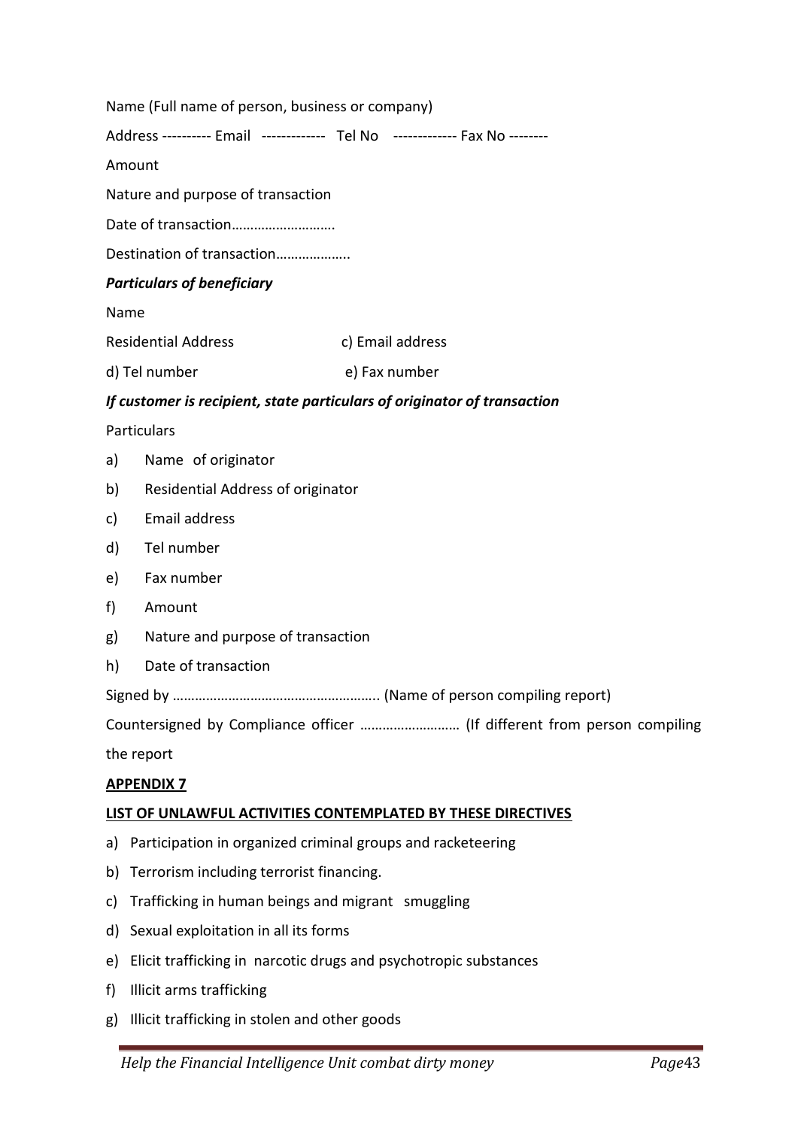|      | Name (Full name of person, business or company)                             |                  |                                                                          |  |
|------|-----------------------------------------------------------------------------|------------------|--------------------------------------------------------------------------|--|
|      | Address ---------- Email ------------- Tel No ------------- Fax No -------- |                  |                                                                          |  |
|      | Amount                                                                      |                  |                                                                          |  |
|      | Nature and purpose of transaction                                           |                  |                                                                          |  |
|      |                                                                             |                  |                                                                          |  |
|      | Destination of transaction                                                  |                  |                                                                          |  |
|      | <b>Particulars of beneficiary</b>                                           |                  |                                                                          |  |
| Name |                                                                             |                  |                                                                          |  |
|      | <b>Residential Address</b>                                                  | c) Email address |                                                                          |  |
|      | d) Tel number                                                               | e) Fax number    |                                                                          |  |
|      | If customer is recipient, state particulars of originator of transaction    |                  |                                                                          |  |
|      | <b>Particulars</b>                                                          |                  |                                                                          |  |
| a)   | Name of originator                                                          |                  |                                                                          |  |
| b)   | Residential Address of originator                                           |                  |                                                                          |  |
| C)   | Email address                                                               |                  |                                                                          |  |
| d)   | Tel number                                                                  |                  |                                                                          |  |
| e)   | Fax number                                                                  |                  |                                                                          |  |
| f)   | Amount                                                                      |                  |                                                                          |  |
| g)   | Nature and purpose of transaction                                           |                  |                                                                          |  |
| h)   | Date of transaction                                                         |                  |                                                                          |  |
|      |                                                                             |                  |                                                                          |  |
|      |                                                                             |                  | Countersigned by Compliance officer  (If different from person compiling |  |
|      | the report                                                                  |                  |                                                                          |  |
|      | <b>APPENDIX 7</b>                                                           |                  |                                                                          |  |
|      | LIST OF UNLAWFUL ACTIVITIES CONTEMPLATED BY THESE DIRECTIVES                |                  |                                                                          |  |
| a)   | Participation in organized criminal groups and racketeering                 |                  |                                                                          |  |
| b)   | Terrorism including terrorist financing.                                    |                  |                                                                          |  |
| c)   | Trafficking in human beings and migrant smuggling                           |                  |                                                                          |  |
| d)   | Sexual exploitation in all its forms                                        |                  |                                                                          |  |
| e)   | Elicit trafficking in narcotic drugs and psychotropic substances            |                  |                                                                          |  |
| f)   | Illicit arms trafficking                                                    |                  |                                                                          |  |
| g)   | Illicit trafficking in stolen and other goods                               |                  |                                                                          |  |
|      |                                                                             |                  |                                                                          |  |